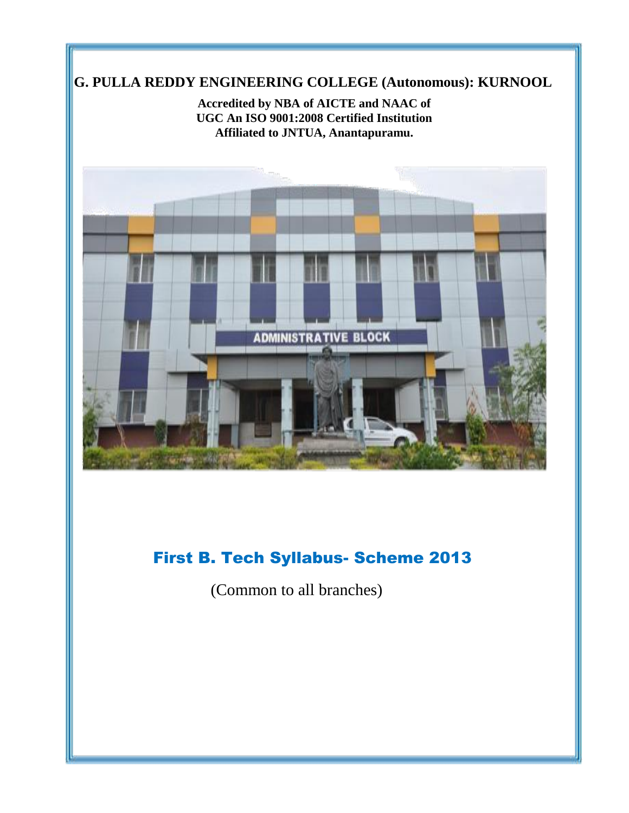# **G. PULLA REDDY ENGINEERING COLLEGE (Autonomous): KURNOOL**

**Accredited by NBA of AICTE and NAAC of UGC An ISO 9001:2008 Certified Institution Affiliated to JNTUA, Anantapuramu.**



# First B. Tech Syllabus- Scheme 2013

(Common to all branches)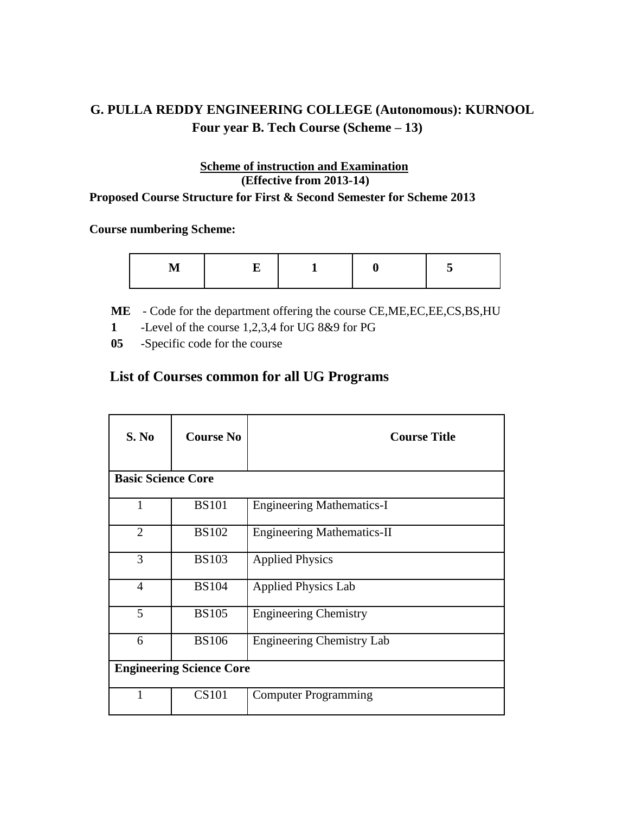# **G. PULLA REDDY ENGINEERING COLLEGE (Autonomous): KURNOOL Four year B. Tech Course (Scheme – 13)**

# **Scheme of instruction and Examination (Effective from 2013-14)**

**Proposed Course Structure for First & Second Semester for Scheme 2013**

 **Course numbering Scheme:**

**M E 1 0 5**

**ME** - Code for the department offering the course CE,ME,EC,EE,CS,BS,HU

- **1** -Level of the course 1,2,3,4 for UG 8&9 for PG **-**
- **05** -Specific code for the course **-**

# **List of Courses common for all UG Programs**

| S. No                           | <b>Course No</b>          | <b>Course Title</b>               |  |  |  |  |
|---------------------------------|---------------------------|-----------------------------------|--|--|--|--|
|                                 | <b>Basic Science Core</b> |                                   |  |  |  |  |
| 1                               | <b>BS101</b>              | <b>Engineering Mathematics-I</b>  |  |  |  |  |
| $\overline{2}$                  | <b>BS102</b>              | <b>Engineering Mathematics-II</b> |  |  |  |  |
| 3                               | <b>BS103</b>              | <b>Applied Physics</b>            |  |  |  |  |
| $\overline{4}$                  | <b>BS104</b>              | <b>Applied Physics Lab</b>        |  |  |  |  |
| 5                               | <b>BS105</b>              | <b>Engineering Chemistry</b>      |  |  |  |  |
| 6                               | <b>BS106</b>              | <b>Engineering Chemistry Lab</b>  |  |  |  |  |
| <b>Engineering Science Core</b> |                           |                                   |  |  |  |  |
|                                 | <b>CS101</b>              | <b>Computer Programming</b>       |  |  |  |  |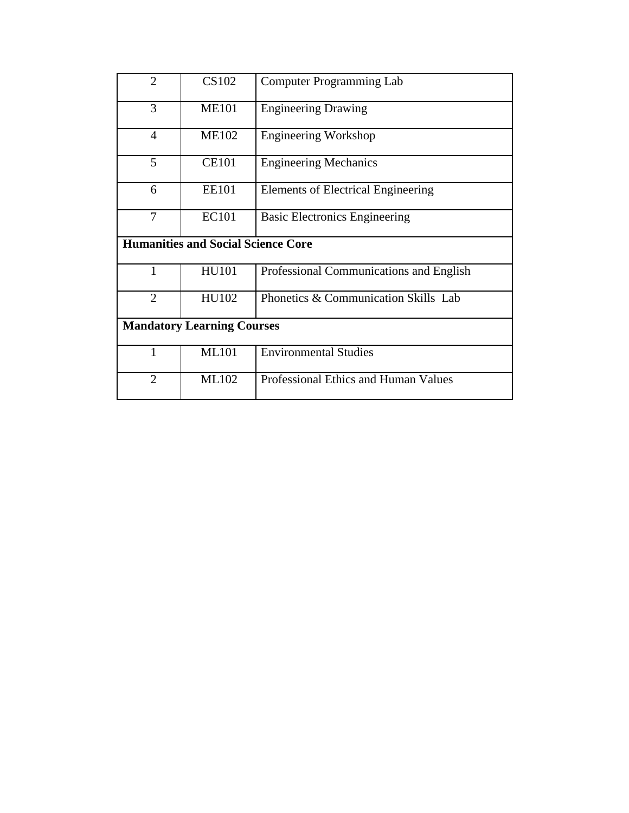| $\overline{2}$ | CS102                                     | <b>Computer Programming Lab</b>         |
|----------------|-------------------------------------------|-----------------------------------------|
| 3              | <b>ME101</b>                              | <b>Engineering Drawing</b>              |
| $\overline{4}$ | <b>ME102</b>                              | <b>Engineering Workshop</b>             |
| 5              | <b>CE101</b>                              | <b>Engineering Mechanics</b>            |
| 6              | <b>EE101</b>                              | Elements of Electrical Engineering      |
| $\overline{7}$ | EC101                                     | <b>Basic Electronics Engineering</b>    |
|                | <b>Humanities and Social Science Core</b> |                                         |
| $\mathbf{1}$   | <b>HU101</b>                              | Professional Communications and English |
| $\overline{2}$ | HU102                                     | Phonetics & Communication Skills Lab    |
|                | <b>Mandatory Learning Courses</b>         |                                         |
| 1              | <b>ML101</b>                              | <b>Environmental Studies</b>            |
| $\overline{2}$ | ML102                                     | Professional Ethics and Human Values    |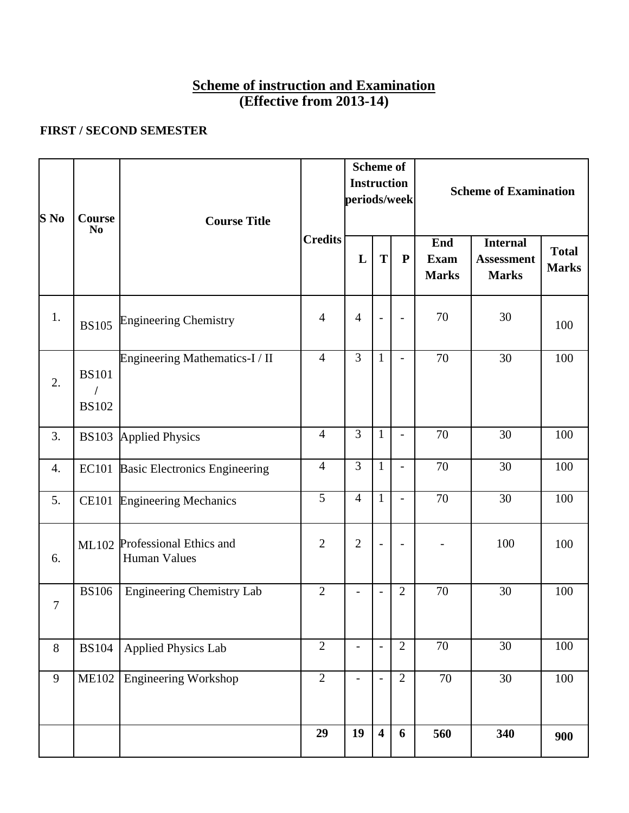# **Scheme of instruction and Examination (Effective from 2013-14)**

# **FIRST / SECOND SEMESTER**

| S No             | <b>Course</b><br>N <sub>0</sub> | <b>Course Title</b>                                  |                |                | <b>Scheme of</b><br><b>Instruction</b><br>periods/week |                          |                             |                                                      |                              | <b>Scheme of Examination</b> |  |
|------------------|---------------------------------|------------------------------------------------------|----------------|----------------|--------------------------------------------------------|--------------------------|-----------------------------|------------------------------------------------------|------------------------------|------------------------------|--|
|                  |                                 |                                                      | <b>Credits</b> | L              | T                                                      | ${\bf P}$                | End<br>Exam<br><b>Marks</b> | <b>Internal</b><br><b>Assessment</b><br><b>Marks</b> | <b>Total</b><br><b>Marks</b> |                              |  |
| 1.               | <b>BS105</b>                    | <b>Engineering Chemistry</b>                         | $\overline{4}$ | $\overline{4}$ | $\overline{\phantom{a}}$                               | $\overline{\phantom{m}}$ | 70                          | 30                                                   | 100                          |                              |  |
| 2.               | <b>BS101</b><br><b>BS102</b>    | Engineering Mathematics-I / II                       | $\overline{4}$ | $\overline{3}$ | $\mathbf{1}$                                           | $\overline{\phantom{0}}$ | 70                          | 30                                                   | 100                          |                              |  |
| 3.               | <b>BS103</b>                    | <b>Applied Physics</b>                               | $\overline{4}$ | 3              | $\mathbf{1}$                                           | $\overline{a}$           | 70                          | 30                                                   | 100                          |                              |  |
| $\overline{4}$ . | <b>EC101</b>                    | <b>Basic Electronics Engineering</b>                 | $\overline{4}$ | $\overline{3}$ | $\mathbf{1}$                                           | $\overline{\phantom{0}}$ | 70                          | 30                                                   | 100                          |                              |  |
| 5.               | <b>CE101</b>                    | <b>Engineering Mechanics</b>                         | $\overline{5}$ | $\overline{4}$ | $\mathbf{1}$                                           | $\overline{a}$           | 70                          | 30                                                   | 100                          |                              |  |
| 6.               |                                 | ML102 Professional Ethics and<br><b>Human Values</b> | $\overline{2}$ | $\overline{2}$ | $\overline{\phantom{a}}$                               | $\qquad \qquad -$        |                             | 100                                                  | 100                          |                              |  |
| $\overline{7}$   | <b>BS106</b>                    | <b>Engineering Chemistry Lab</b>                     | $\overline{2}$ |                |                                                        | $\overline{2}$           | 70                          | 30                                                   | 100                          |                              |  |
| 8                | <b>BS104</b>                    | <b>Applied Physics Lab</b>                           | $\overline{2}$ |                |                                                        | $\overline{2}$           | 70                          | 30                                                   | 100                          |                              |  |
| 9                | <b>ME102</b>                    | <b>Engineering Workshop</b>                          | $\overline{2}$ |                | $\overline{\phantom{a}}$                               | $\overline{2}$           | 70                          | 30                                                   | 100                          |                              |  |
|                  |                                 |                                                      | 29             | 19             | $\overline{\mathbf{4}}$                                | 6                        | 560                         | 340                                                  | 900                          |                              |  |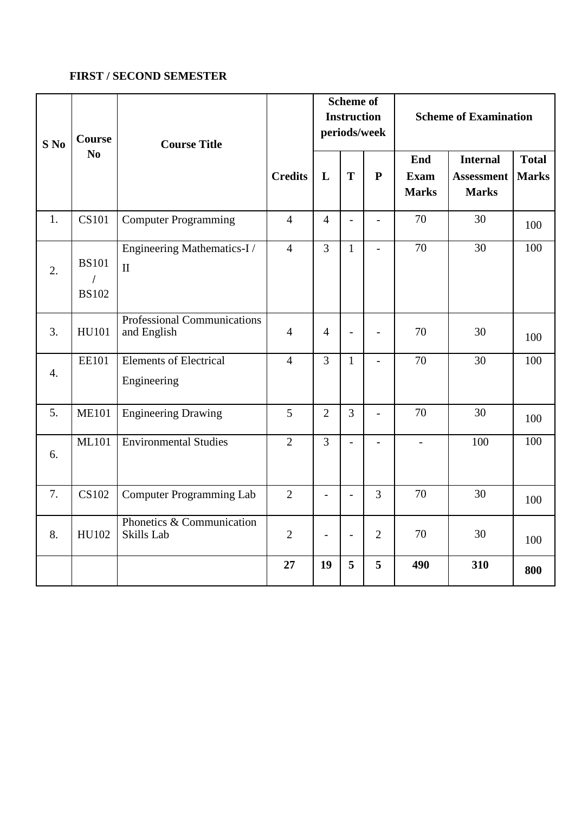# **FIRST / SECOND SEMESTER**

| $S$ No           | <b>Course</b>                            | <b>Course Title</b>                          |                | <b>Scheme of</b><br><b>Instruction</b><br><b>Scheme of Examination</b><br>periods/week |                          |                |                                    |                                                      |                              |
|------------------|------------------------------------------|----------------------------------------------|----------------|----------------------------------------------------------------------------------------|--------------------------|----------------|------------------------------------|------------------------------------------------------|------------------------------|
|                  | N <sub>0</sub>                           |                                              | <b>Credits</b> | L                                                                                      | T                        | $\mathbf{P}$   | End<br><b>Exam</b><br><b>Marks</b> | <b>Internal</b><br><b>Assessment</b><br><b>Marks</b> | <b>Total</b><br><b>Marks</b> |
| 1.               | <b>CS101</b>                             | <b>Computer Programming</b>                  | $\overline{4}$ | $\overline{4}$                                                                         | $\overline{a}$           | $\overline{a}$ | 70                                 | 30                                                   | 100                          |
| 2.               | <b>BS101</b><br>$\prime$<br><b>BS102</b> | Engineering Mathematics-I/<br>$\rm II$       | $\overline{4}$ | $\overline{3}$                                                                         | $\mathbf{1}$             | $\overline{a}$ | 70                                 | $\overline{30}$                                      | 100                          |
| 3.               | HU101                                    | Professional Communications<br>and English   | $\overline{4}$ | $\overline{4}$                                                                         | $\overline{a}$           | $\overline{a}$ | 70                                 | 30                                                   | 100                          |
| $\overline{4}$ . | <b>EE101</b>                             | <b>Elements of Electrical</b><br>Engineering | $\overline{4}$ | $\overline{3}$                                                                         | $\mathbf{1}$             | $\overline{a}$ | 70                                 | 30                                                   | 100                          |
| 5.               | <b>ME101</b>                             | <b>Engineering Drawing</b>                   | 5              | $\overline{2}$                                                                         | $\overline{3}$           | $\overline{a}$ | 70                                 | 30                                                   | 100                          |
| 6.               | <b>ML101</b>                             | <b>Environmental Studies</b>                 | $\overline{2}$ | $\overline{3}$                                                                         | $\overline{a}$           |                | $\overline{a}$                     | 100                                                  | 100                          |
| 7.               | CS102                                    | <b>Computer Programming Lab</b>              | $\overline{2}$ | $\overline{\phantom{a}}$                                                               | $\overline{a}$           | $\overline{3}$ | 70                                 | 30                                                   | 100                          |
| 8.               | HU102                                    | Phonetics & Communication<br>Skills Lab      | $\overline{2}$ |                                                                                        | $\overline{\phantom{a}}$ | $\overline{2}$ | 70                                 | 30                                                   | 100                          |
|                  |                                          |                                              | 27             | 19                                                                                     | 5                        | 5              | 490                                | 310                                                  | 800                          |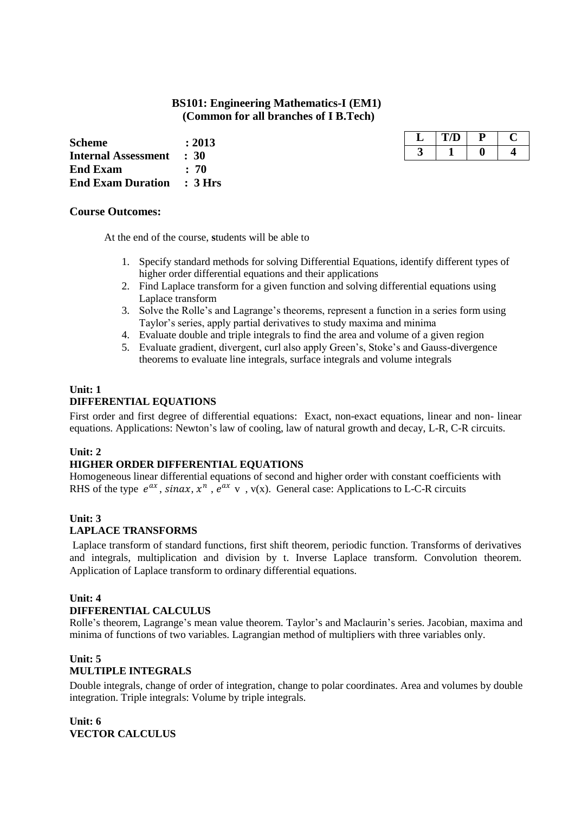# **BS101: Engineering Mathematics-I (EM1) (Common for all branches of I B.Tech)**

**Scheme : 2013 Internal Assessment : 30**<br>End Exam : 70 **End Exam End Exam Duration : 3 Hrs**

| IJ |  |
|----|--|
|    |  |

#### **Course Outcomes:**

At the end of the course, **s**tudents will be able to

- 1. Specify standard methods for solving Differential Equations, identify different types of higher order differential equations and their applications
- 2. Find Laplace transform for a given function and solving differential equations using Laplace transform
- 3. Solve the Rolle"s and Lagrange"s theorems, represent a function in a series form using Taylor"s series, apply partial derivatives to study maxima and minima
- 4. Evaluate double and triple integrals to find the area and volume of a given region
- 5. Evaluate gradient, divergent, curl also apply Green"s, Stoke"s and Gauss-divergence theorems to evaluate line integrals, surface integrals and volume integrals

#### **Unit: 1 DIFFERENTIAL EQUATIONS**

First order and first degree of differential equations: Exact, non-exact equations, linear and non- linear equations. Applications: Newton"s law of cooling, law of natural growth and decay, L-R, C-R circuits.

#### **Unit: 2**

#### **HIGHER ORDER DIFFERENTIAL EQUATIONS**

Homogeneous linear differential equations of second and higher order with constant coefficients with RHS of the type  $e^{ax}$ , sinax,  $x^n$ ,  $e^{ax}$  v, v(x). General case: Applications to L-C-R circuits

#### **Unit: 3**

#### **LAPLACE TRANSFORMS**

Laplace transform of standard functions, first shift theorem, periodic function. Transforms of derivatives and integrals, multiplication and division by t. Inverse Laplace transform. Convolution theorem. Application of Laplace transform to ordinary differential equations.

#### **Unit: 4**

#### **DIFFERENTIAL CALCULUS**

Rolle's theorem, Lagrange's mean value theorem. Taylor's and Maclaurin's series. Jacobian, maxima and minima of functions of two variables. Lagrangian method of multipliers with three variables only.

#### **Unit: 5 MULTIPLE INTEGRALS**

Double integrals, change of order of integration, change to polar coordinates. Area and volumes by double integration. Triple integrals: Volume by triple integrals.

**Unit: 6 VECTOR CALCULUS**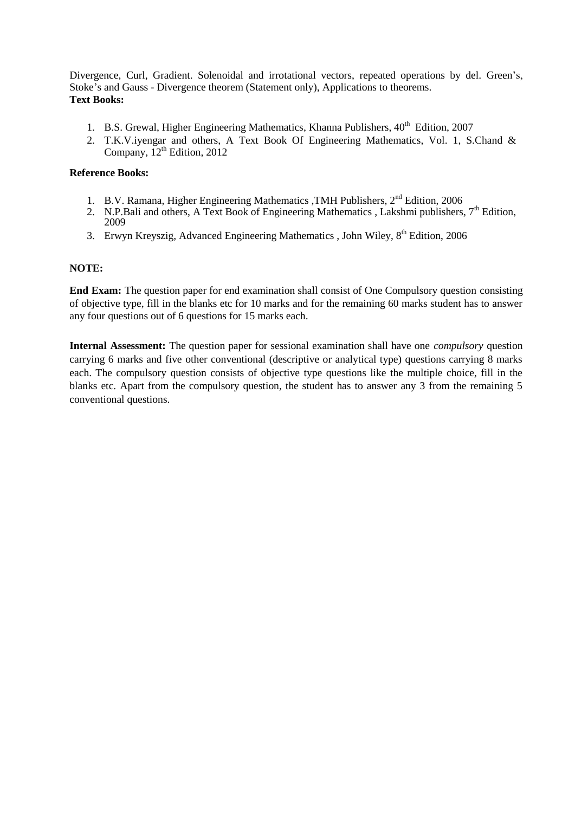Divergence, Curl, Gradient. Solenoidal and irrotational vectors, repeated operations by del. Green's, Stoke"s and Gauss - Divergence theorem (Statement only), Applications to theorems. **Text Books:**

- 1. B.S. Grewal, Higher Engineering Mathematics, Khanna Publishers, 40<sup>th</sup> Edition, 2007
- 2. T.K.V.iyengar and others, A Text Book Of Engineering Mathematics, Vol. 1, S.Chand & Company, 12<sup>th</sup> Edition, 2012

#### **Reference Books:**

- 1. B.V. Ramana, Higher Engineering Mathematics , TMH Publishers, 2<sup>nd</sup> Edition, 2006
- 2. N.P.Bali and others, A Text Book of Engineering Mathematics , Lakshmi publishers,  $7<sup>th</sup>$  Edition, 2009
- 3. Erwyn Kreyszig, Advanced Engineering Mathematics , John Wiley,  $8<sup>th</sup>$  Edition, 2006

#### **NOTE:**

**End Exam:** The question paper for end examination shall consist of One Compulsory question consisting of objective type, fill in the blanks etc for 10 marks and for the remaining 60 marks student has to answer any four questions out of 6 questions for 15 marks each.

**Internal Assessment:** The question paper for sessional examination shall have one *compulsory* question carrying 6 marks and five other conventional (descriptive or analytical type) questions carrying 8 marks each. The compulsory question consists of objective type questions like the multiple choice, fill in the blanks etc. Apart from the compulsory question, the student has to answer any 3 from the remaining 5 conventional questions.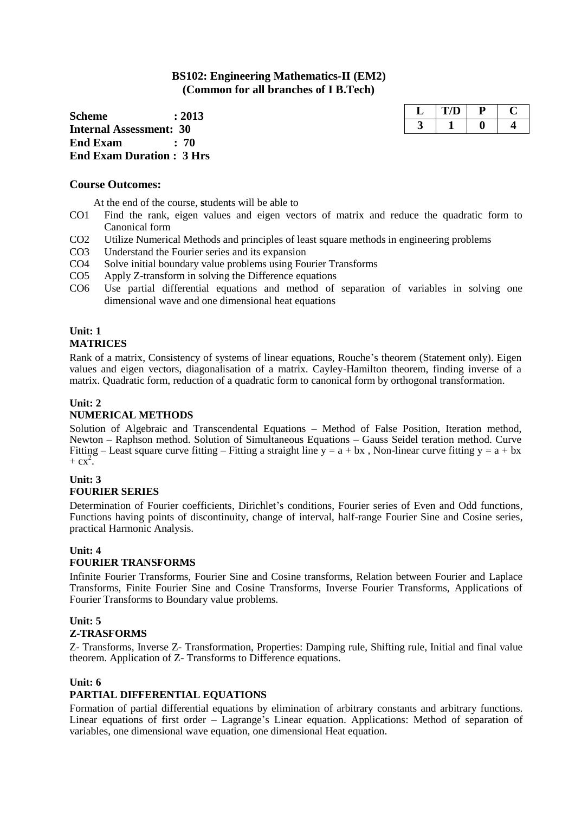# **BS102: Engineering Mathematics-II (EM2) (Common for all branches of I B.Tech)**

**Scheme : 2013 Internal Assessment: 30 End Exam : 70 End Exam Duration : 3 Hrs**

# **Course Outcomes:**

At the end of the course, **s**tudents will be able to

- CO1 Find the rank, eigen values and eigen vectors of matrix and reduce the quadratic form to Canonical form
- CO2 Utilize Numerical Methods and principles of least square methods in engineering problems
- CO3 Understand the Fourier series and its expansion
- CO4 Solve initial boundary value problems using Fourier Transforms
- CO5 Apply Z-transform in solving the Difference equations
- CO6 Use partial differential equations and method of separation of variables in solving one dimensional wave and one dimensional heat equations

#### **Unit: 1 MATRICES**

Rank of a matrix, Consistency of systems of linear equations, Rouche"s theorem (Statement only). Eigen values and eigen vectors, diagonalisation of a matrix. Cayley-Hamilton theorem, finding inverse of a matrix. Quadratic form, reduction of a quadratic form to canonical form by orthogonal transformation.

### **Unit: 2**

### **NUMERICAL METHODS**

Solution of Algebraic and Transcendental Equations – Method of False Position, Iteration method, Newton – Raphson method. Solution of Simultaneous Equations – Gauss Seidel teration method. Curve Fitting – Least square curve fitting – Fitting a straight line  $y = a + bx$ , Non-linear curve fitting  $y = a + bx$  $+$  cx<sup>2</sup>.

#### **Unit: 3 FOURIER SERIES**

Determination of Fourier coefficients, Dirichlet's conditions, Fourier series of Even and Odd functions, Functions having points of discontinuity, change of interval, half-range Fourier Sine and Cosine series, practical Harmonic Analysis.

#### **Unit: 4 FOURIER TRANSFORMS**

Infinite Fourier Transforms, Fourier Sine and Cosine transforms, Relation between Fourier and Laplace Transforms, Finite Fourier Sine and Cosine Transforms, Inverse Fourier Transforms, Applications of Fourier Transforms to Boundary value problems.

#### **Unit: 5 Z-TRASFORMS**

Z- Transforms, Inverse Z- Transformation, Properties: Damping rule, Shifting rule, Initial and final value theorem. Application of Z- Transforms to Difference equations.

#### **Unit: 6**

### **PARTIAL DIFFERENTIAL EQUATIONS**

Formation of partial differential equations by elimination of arbitrary constants and arbitrary functions. Linear equations of first order – Lagrange's Linear equation. Applications: Method of separation of variables, one dimensional wave equation, one dimensional Heat equation.

| D |  |
|---|--|
|   |  |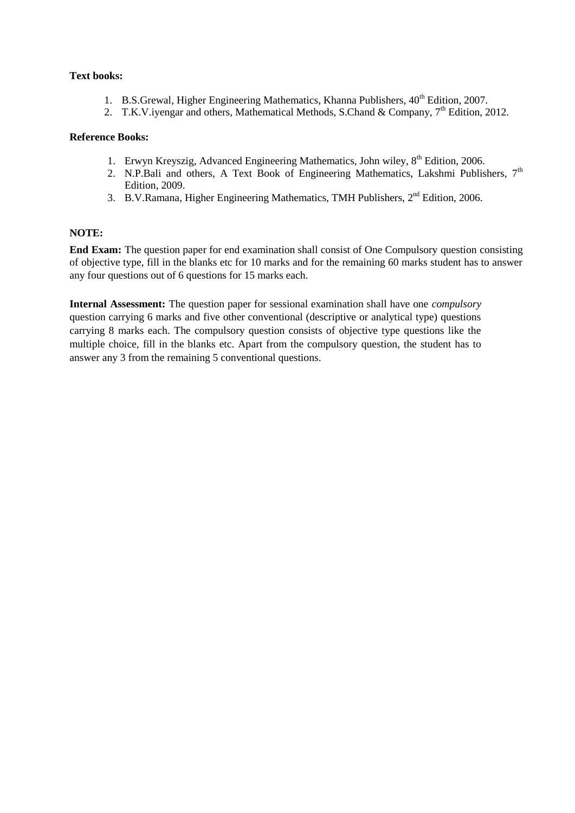#### **Text books:**

- 1. B.S.Grewal, Higher Engineering Mathematics, Khanna Publishers,  $40^{th}$  Edition, 2007.
- 2. T.K.V. ivengar and others, Mathematical Methods, S.Chand & Company, 7<sup>th</sup> Edition, 2012.

#### **Reference Books:**

- 1. Erwyn Kreyszig, Advanced Engineering Mathematics, John wiley, 8<sup>th</sup> Edition, 2006.
- 2. N.P.Bali and others, A Text Book of Engineering Mathematics, Lakshmi Publishers,  $7<sup>th</sup>$ Edition, 2009.
- 3. B.V.Ramana, Higher Engineering Mathematics, TMH Publishers, 2<sup>nd</sup> Edition, 2006.

#### **NOTE:**

**End Exam:** The question paper for end examination shall consist of One Compulsory question consisting of objective type, fill in the blanks etc for 10 marks and for the remaining 60 marks student has to answer any four questions out of 6 questions for 15 marks each.

**Internal Assessment:** The question paper for sessional examination shall have one *compulsory* question carrying 6 marks and five other conventional (descriptive or analytical type) questions carrying 8 marks each. The compulsory question consists of objective type questions like the multiple choice, fill in the blanks etc. Apart from the compulsory question, the student has to answer any 3 from the remaining 5 conventional questions.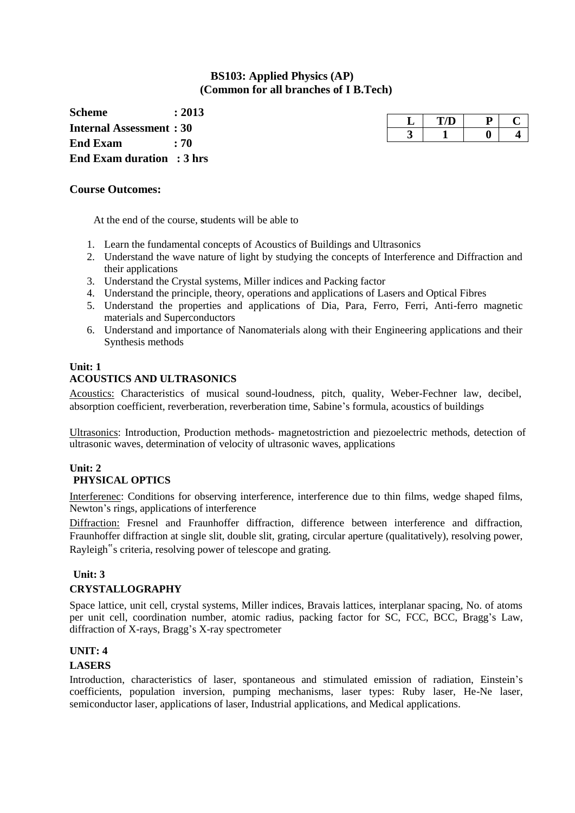# **BS103: Applied Physics (AP) (Common for all branches of I B.Tech)**

**Scheme : 2013 Internal Assessment : 30 End Exam : 70 End Exam duration : 3 hrs**

| ш |  |  |
|---|--|--|
|   |  |  |

#### **Course Outcomes:**

At the end of the course, **s**tudents will be able to

- 1. Learn the fundamental concepts of Acoustics of Buildings and Ultrasonics
- 2. Understand the wave nature of light by studying the concepts of Interference and Diffraction and their applications
- 3. Understand the Crystal systems, Miller indices and Packing factor
- 4. Understand the principle, theory, operations and applications of Lasers and Optical Fibres
- 5. Understand the properties and applications of Dia, Para, Ferro, Ferri, Anti-ferro magnetic materials and Superconductors
- 6. Understand and importance of Nanomaterials along with their Engineering applications and their Synthesis methods

#### **Unit: 1 ACOUSTICS AND ULTRASONICS**

Acoustics: Characteristics of musical sound-loudness, pitch, quality, Weber-Fechner law, decibel, absorption coefficient, reverberation, reverberation time, Sabine"s formula, acoustics of buildings

Ultrasonics: Introduction, Production methods- magnetostriction and piezoelectric methods, detection of ultrasonic waves, determination of velocity of ultrasonic waves, applications

#### **Unit: 2 PHYSICAL OPTICS**

Interferenec: Conditions for observing interference, interference due to thin films, wedge shaped films, Newton"s rings, applications of interference

Diffraction: Fresnel and Fraunhoffer diffraction, difference between interference and diffraction, Fraunhoffer diffraction at single slit, double slit, grating, circular aperture (qualitatively), resolving power, Rayleigh"s criteria, resolving power of telescope and grating.

### **Unit: 3**

#### **CRYSTALLOGRAPHY**

Space lattice, unit cell, crystal systems, Miller indices, Bravais lattices, interplanar spacing, No. of atoms per unit cell, coordination number, atomic radius, packing factor for SC, FCC, BCC, Bragg's Law, diffraction of X-rays, Bragg"s X-ray spectrometer

### **UNIT: 4**

#### **LASERS**

Introduction, characteristics of laser, spontaneous and stimulated emission of radiation, Einstein"s coefficients, population inversion, pumping mechanisms, laser types: Ruby laser, He-Ne laser, semiconductor laser, applications of laser, Industrial applications, and Medical applications.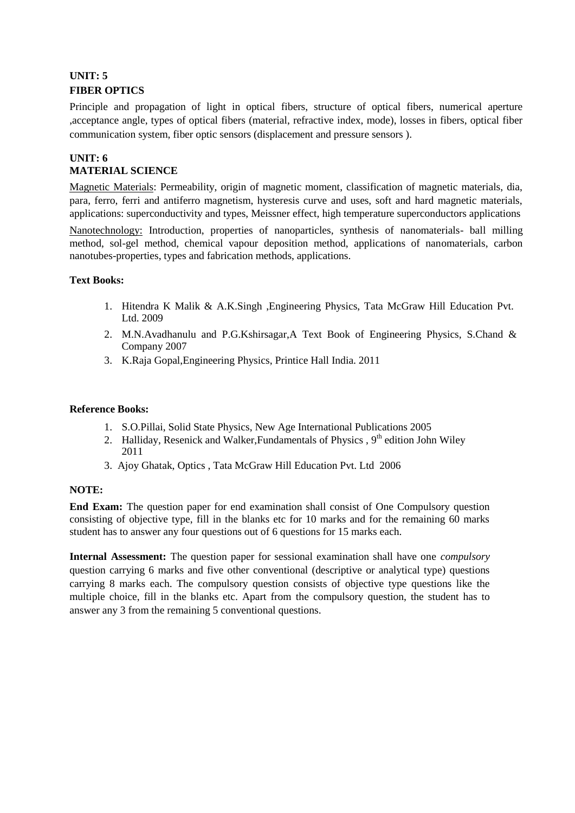# **UNIT: 5 FIBER OPTICS**

Principle and propagation of light in optical fibers, structure of optical fibers, numerical aperture ,acceptance angle, types of optical fibers (material, refractive index, mode), losses in fibers, optical fiber communication system, fiber optic sensors (displacement and pressure sensors ).

# **UNIT: 6 MATERIAL SCIENCE**

Magnetic Materials: Permeability, origin of magnetic moment, classification of magnetic materials, dia, para, ferro, ferri and antiferro magnetism, hysteresis curve and uses, soft and hard magnetic materials, applications: superconductivity and types, Meissner effect, high temperature superconductors applications

Nanotechnology: Introduction, properties of nanoparticles, synthesis of nanomaterials- ball milling method, sol-gel method, chemical vapour deposition method, applications of nanomaterials, carbon nanotubes-properties, types and fabrication methods, applications.

### **Text Books:**

- 1. Hitendra K Malik & A.K.Singh ,Engineering Physics, Tata McGraw Hill Education Pvt. Ltd. 2009
- 2. M.N.Avadhanulu and P.G.Kshirsagar,A Text Book of Engineering Physics, S.Chand & Company 2007
- 3. K.Raja Gopal,Engineering Physics, Printice Hall India. 2011

#### **Reference Books:**

- 1. S.O.Pillai, Solid State Physics, New Age International Publications 2005
- 2. Halliday, Resenick and Walker, Fundamentals of Physics ,  $9<sup>th</sup>$  edition John Wiley 2011
- 3. Ajoy Ghatak, Optics , Tata McGraw Hill Education Pvt. Ltd 2006

### **NOTE:**

**End Exam:** The question paper for end examination shall consist of One Compulsory question consisting of objective type, fill in the blanks etc for 10 marks and for the remaining 60 marks student has to answer any four questions out of 6 questions for 15 marks each.

**Internal Assessment:** The question paper for sessional examination shall have one *compulsory* question carrying 6 marks and five other conventional (descriptive or analytical type) questions carrying 8 marks each. The compulsory question consists of objective type questions like the multiple choice, fill in the blanks etc. Apart from the compulsory question, the student has to answer any 3 from the remaining 5 conventional questions.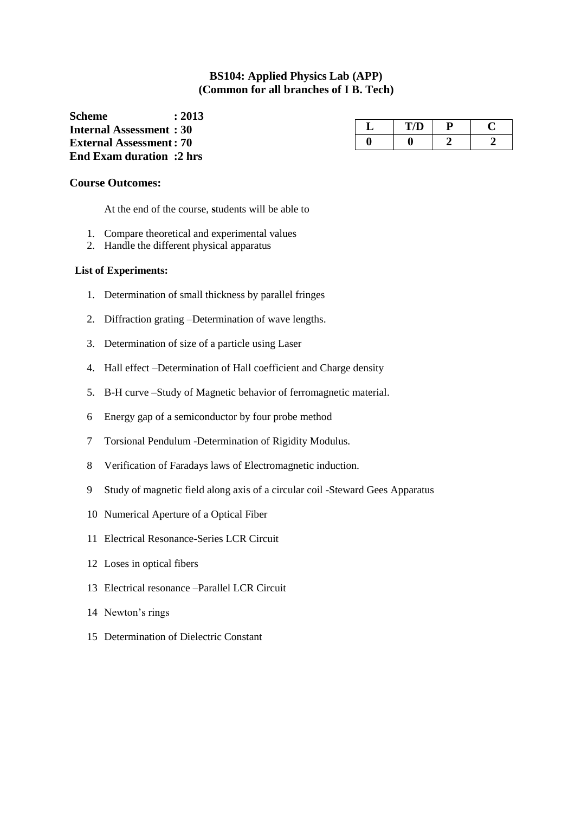# **BS104: Applied Physics Lab (APP) (Common for all branches of I B. Tech)**

**Scheme : 2013 Internal Assessment : 30 External Assessment: 70 End Exam duration :2 hrs**

| پ | <b>COLOR</b><br>— <i>1</i> — 2 — |  |
|---|----------------------------------|--|
|   |                                  |  |

#### **Course Outcomes:**

At the end of the course, **s**tudents will be able to

- 1. Compare theoretical and experimental values
- 2. Handle the different physical apparatus

#### **List of Experiments:**

- 1. Determination of small thickness by parallel fringes
- 2. Diffraction grating –Determination of wave lengths.
- 3. Determination of size of a particle using Laser
- 4. Hall effect –Determination of Hall coefficient and Charge density
- 5. B-H curve –Study of Magnetic behavior of ferromagnetic material.
- 6 Energy gap of a semiconductor by four probe method
- 7 Torsional Pendulum -Determination of Rigidity Modulus.
- 8 Verification of Faradays laws of Electromagnetic induction.
- 9 Study of magnetic field along axis of a circular coil -Steward Gees Apparatus
- 10 Numerical Aperture of a Optical Fiber
- 11 Electrical Resonance-Series LCR Circuit
- 12 Loses in optical fibers
- 13 Electrical resonance –Parallel LCR Circuit
- 14 Newton's rings
- 15 Determination of Dielectric Constant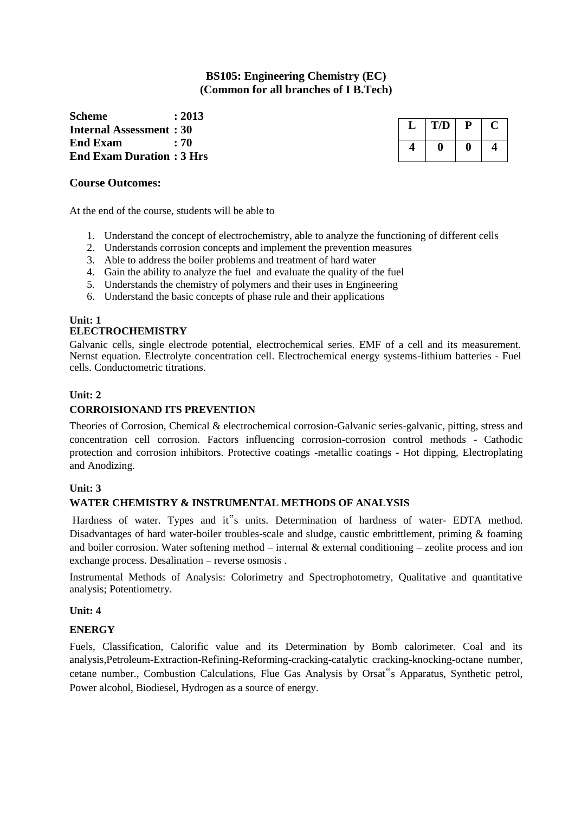# **BS105: Engineering Chemistry (EC) (Common for all branches of I B.Tech)**

**Scheme : 2013 Internal Assessment : 30 End Exam : 70 End Exam Duration : 3 Hrs**

| T/D | Р |  |
|-----|---|--|
|     |   |  |

### **Course Outcomes:**

At the end of the course, students will be able to

- 1. Understand the concept of electrochemistry, able to analyze the functioning of different cells
- 2. Understands corrosion concepts and implement the prevention measures
- 3. Able to address the boiler problems and treatment of hard water
- 4. Gain the ability to analyze the fuel and evaluate the quality of the fuel
- 5. Understands the chemistry of polymers and their uses in Engineering
- 6. Understand the basic concepts of phase rule and their applications

#### **Unit: 1 ELECTROCHEMISTRY**

Galvanic cells, single electrode potential, electrochemical series. EMF of a cell and its measurement. Nernst equation. Electrolyte concentration cell. Electrochemical energy systems-lithium batteries - Fuel cells. Conductometric titrations.

### **Unit: 2**

### **CORROISIONAND ITS PREVENTION**

Theories of Corrosion, Chemical & electrochemical corrosion-Galvanic series-galvanic, pitting, stress and concentration cell corrosion. Factors influencing corrosion-corrosion control methods - Cathodic protection and corrosion inhibitors. Protective coatings -metallic coatings - Hot dipping, Electroplating and Anodizing.

### **Unit: 3**

### **WATER CHEMISTRY & INSTRUMENTAL METHODS OF ANALYSIS**

Hardness of water. Types and it"s units. Determination of hardness of water- EDTA method. Disadvantages of hard water-boiler troubles-scale and sludge, caustic embrittlement, priming & foaming and boiler corrosion. Water softening method – internal  $\&$  external conditioning – zeolite process and ion exchange process. Desalination – reverse osmosis .

Instrumental Methods of Analysis: Colorimetry and Spectrophotometry, Qualitative and quantitative analysis; Potentiometry.

### **Unit: 4**

### **ENERGY**

Fuels, Classification, Calorific value and its Determination by Bomb calorimeter. Coal and its analysis,Petroleum-Extraction-Refining-Reforming-cracking-catalytic cracking-knocking-octane number, cetane number., Combustion Calculations, Flue Gas Analysis by Orsat"s Apparatus, Synthetic petrol, Power alcohol, Biodiesel, Hydrogen as a source of energy.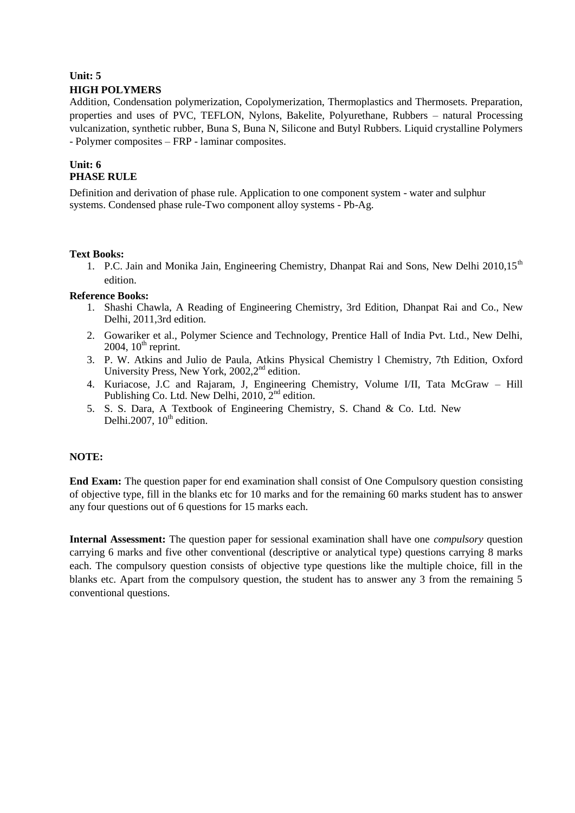# **Unit: 5 HIGH POLYMERS**

Addition, Condensation polymerization, Copolymerization, Thermoplastics and Thermosets. Preparation, properties and uses of PVC, TEFLON, Nylons, Bakelite, Polyurethane, Rubbers – natural Processing vulcanization, synthetic rubber, Buna S, Buna N, Silicone and Butyl Rubbers. Liquid crystalline Polymers - Polymer composites – FRP - laminar composites.

# **Unit: 6 PHASE RULE**

Definition and derivation of phase rule. Application to one component system - water and sulphur systems. Condensed phase rule-Two component alloy systems - Pb-Ag.

#### **Text Books:**

1. P.C. Jain and Monika Jain, Engineering Chemistry, Dhanpat Rai and Sons, New Delhi 2010.15<sup>th</sup> edition.

#### **Reference Books:**

- 1. Shashi Chawla, A Reading of Engineering Chemistry, 3rd Edition, Dhanpat Rai and Co., New Delhi, 2011,3rd edition.
- 2. Gowariker et al., Polymer Science and Technology, Prentice Hall of India Pvt. Ltd., New Delhi,  $2004$ ,  $10<sup>th</sup>$  reprint.
- 3. P. W. Atkins and Julio de Paula, Atkins Physical Chemistry l Chemistry, 7th Edition, Oxford University Press, New York, 2002, 2<sup>nd</sup> edition.
- 4. Kuriacose, J.C and Rajaram, J, Engineering Chemistry, Volume I/II, Tata McGraw Hill Publishing Co. Ltd. New Delhi,  $2010$ ,  $2<sup>nd</sup>$  edition.
- 5. S. S. Dara, A Textbook of Engineering Chemistry, S. Chand & Co. Ltd. New Delhi.2007,  $10<sup>th</sup>$  edition.

### **NOTE:**

**End Exam:** The question paper for end examination shall consist of One Compulsory question consisting of objective type, fill in the blanks etc for 10 marks and for the remaining 60 marks student has to answer any four questions out of 6 questions for 15 marks each.

**Internal Assessment:** The question paper for sessional examination shall have one *compulsory* question carrying 6 marks and five other conventional (descriptive or analytical type) questions carrying 8 marks each. The compulsory question consists of objective type questions like the multiple choice, fill in the blanks etc. Apart from the compulsory question, the student has to answer any 3 from the remaining 5 conventional questions.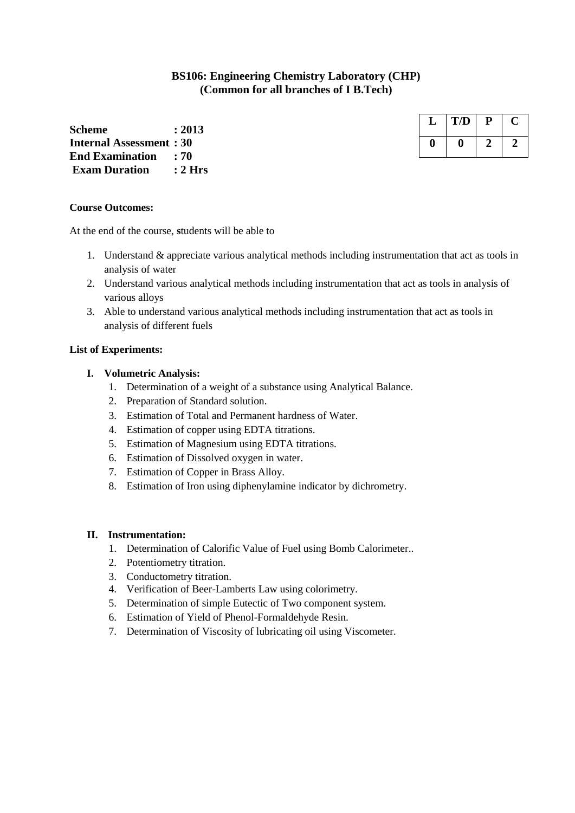# **BS106: Engineering Chemistry Laboratory (CHP) (Common for all branches of I B.Tech)**

**Scheme : 2013 Internal Assessment : 30 End Examination : 70 Exam Duration : 2 Hrs**

# **Course Outcomes:**

At the end of the course, **s**tudents will be able to

- 1. Understand & appreciate various analytical methods including instrumentation that act as tools in analysis of water
- 2. Understand various analytical methods including instrumentation that act as tools in analysis of various alloys
- 3. Able to understand various analytical methods including instrumentation that act as tools in analysis of different fuels

#### **List of Experiments:**

#### **I. Volumetric Analysis:**

- 1. Determination of a weight of a substance using Analytical Balance.
- 2. Preparation of Standard solution.
- 3. Estimation of Total and Permanent hardness of Water.
- 4. Estimation of copper using EDTA titrations.
- 5. Estimation of Magnesium using EDTA titrations.
- 6. Estimation of Dissolved oxygen in water.
- 7. Estimation of Copper in Brass Alloy.
- 8. Estimation of Iron using diphenylamine indicator by dichrometry.

#### **II. Instrumentation:**

- 1. Determination of Calorific Value of Fuel using Bomb Calorimeter..
- 2. Potentiometry titration.
- 3. Conductometry titration.
- 4. Verification of Beer-Lamberts Law using colorimetry.
- 5. Determination of simple Eutectic of Two component system.
- 6. Estimation of Yield of Phenol-Formaldehyde Resin.
- 7. Determination of Viscosity of lubricating oil using Viscometer.

| T/D | р |  |
|-----|---|--|
|     |   |  |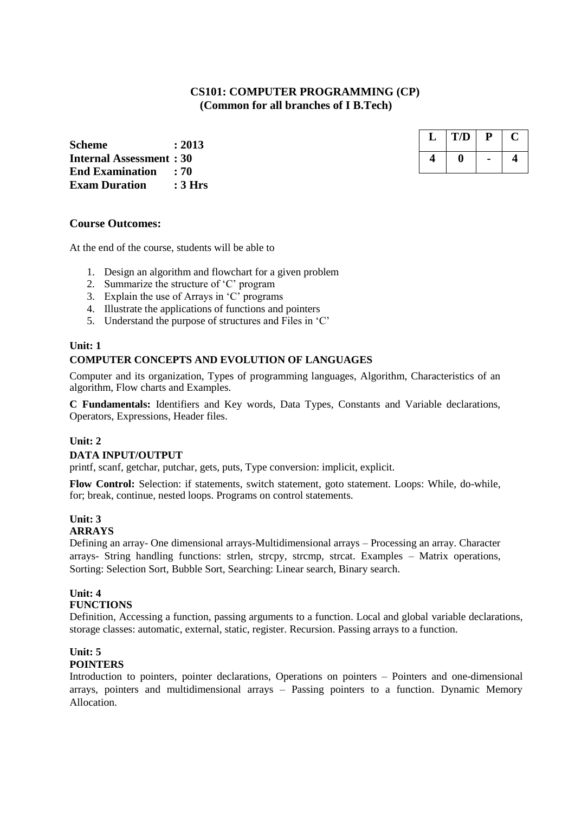# **CS101: COMPUTER PROGRAMMING (CP) (Common for all branches of I B.Tech)**

**Scheme : 2013 Internal Assessment : 30 End Examination : 70 Exam Duration : 3 Hrs**

| T/D | р |  |
|-----|---|--|
|     |   |  |

#### **Course Outcomes:**

At the end of the course, students will be able to

- 1. Design an algorithm and flowchart for a given problem
- 2. Summarize the structure of "C" program
- 3. Explain the use of Arrays in "C" programs
- 4. Illustrate the applications of functions and pointers
- 5. Understand the purpose of structures and Files in "C"

#### **Unit: 1 COMPUTER CONCEPTS AND EVOLUTION OF LANGUAGES**

Computer and its organization, Types of programming languages, Algorithm, Characteristics of an algorithm, Flow charts and Examples.

**C Fundamentals:** Identifiers and Key words, Data Types, Constants and Variable declarations, Operators, Expressions, Header files.

#### **Unit: 2**

#### **DATA INPUT/OUTPUT**

printf, scanf, getchar, putchar, gets, puts, Type conversion: implicit, explicit.

**Flow Control:** Selection: if statements, switch statement, goto statement. Loops: While, do-while, for; break, continue, nested loops. Programs on control statements.

### **Unit: 3**

#### **ARRAYS**

Defining an array- One dimensional arrays-Multidimensional arrays – Processing an array. Character arrays- String handling functions: strlen, strcpy, strcmp, strcat. Examples – Matrix operations, Sorting: Selection Sort, Bubble Sort, Searching: Linear search, Binary search.

# **Unit: 4 FUNCTIONS**

Definition, Accessing a function, passing arguments to a function. Local and global variable declarations, storage classes: automatic, external, static, register. Recursion. Passing arrays to a function.

# **Unit: 5**

# **POINTERS**

Introduction to pointers, pointer declarations, Operations on pointers – Pointers and one-dimensional arrays, pointers and multidimensional arrays – Passing pointers to a function. Dynamic Memory Allocation.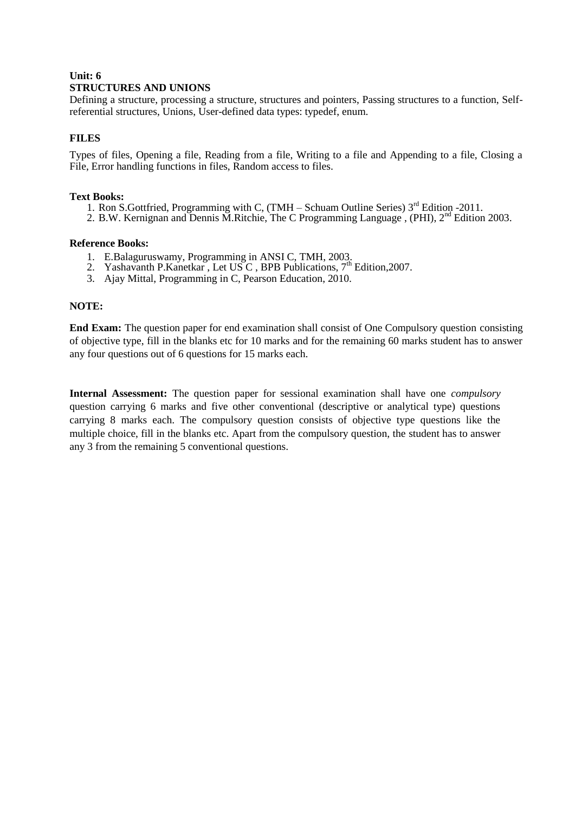# **Unit: 6 STRUCTURES AND UNIONS**

Defining a structure, processing a structure, structures and pointers, Passing structures to a function, Selfreferential structures, Unions, User-defined data types: typedef, enum.

#### **FILES**

Types of files, Opening a file, Reading from a file, Writing to a file and Appending to a file, Closing a File, Error handling functions in files, Random access to files.

#### **Text Books:**

- 1. Ron S.Gottfried, Programming with C,  $(TMH Schuam$  Outline Series)  $3<sup>rd</sup>$  Edition -2011.
- 2. B.W. Kernignan and Dennis M.Ritchie, The C Programming Language<sup>,</sup> (PHI), 2<sup>nd</sup> Edition 2003.

#### **Reference Books:**

- 1. E.Balaguruswamy, Programming in ANSI C, TMH, 2003.
- 2. Yashavanth P.Kanetkar, Let USC, BPB Publications, 7<sup>th</sup> Edition, 2007.
- 3. Ajay Mittal, Programming in C, Pearson Education, 2010.

#### **NOTE:**

**End Exam:** The question paper for end examination shall consist of One Compulsory question consisting of objective type, fill in the blanks etc for 10 marks and for the remaining 60 marks student has to answer any four questions out of 6 questions for 15 marks each.

**Internal Assessment:** The question paper for sessional examination shall have one *compulsory* question carrying 6 marks and five other conventional (descriptive or analytical type) questions carrying 8 marks each. The compulsory question consists of objective type questions like the multiple choice, fill in the blanks etc. Apart from the compulsory question, the student has to answer any 3 from the remaining 5 conventional questions.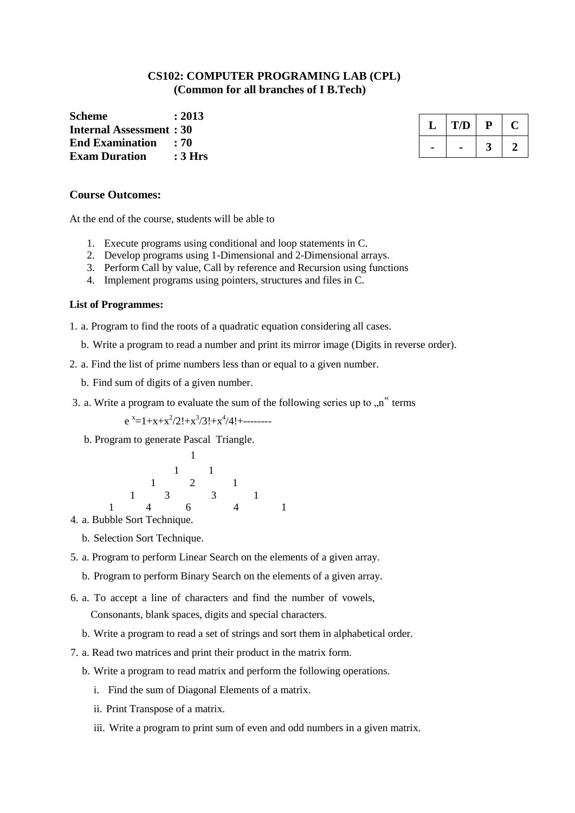# **CS102: COMPUTER PROGRAMING LAB (CPL) (Common for all branches of I B.Tech)**

**Scheme : 2013 Internal Assessment : 30 End Examination : 70 Exam Duration : 3 Hrs**

| ٠. | T/D | ψ |  |
|----|-----|---|--|
|    |     |   |  |

#### **Course Outcomes:**

At the end of the course, **s**tudents will be able to

- 1. Execute programs using conditional and loop statements in C.
- 2. Develop programs using 1-Dimensional and 2-Dimensional arrays.
- 3. Perform Call by value, Call by reference and Recursion using functions
- 4. Implement programs using pointers, structures and files in C.

#### **List of Programmes:**

1. a. Program to find the roots of a quadratic equation considering all cases.

- b. Write a program to read a number and print its mirror image (Digits in reverse order).
- 2. a. Find the list of prime numbers less than or equal to a given number.
	- b. Find sum of digits of a given number.
- 3. a. Write a program to evaluate the sum of the following series up to  $\cdot$ n<sup>"</sup> terms

 $e^{x}=1+x+x^2/2!+x^3/3!+x^4/4!+\dots$ 

b. Program to generate Pascal Triangle.

|  |                | $1 \quad 1 \quad$              |  |                                                                                                                                                                                                                                                                                                                                    |  |
|--|----------------|--------------------------------|--|------------------------------------------------------------------------------------------------------------------------------------------------------------------------------------------------------------------------------------------------------------------------------------------------------------------------------------|--|
|  |                | $1 \qquad 2 \qquad 1$          |  |                                                                                                                                                                                                                                                                                                                                    |  |
|  |                | $1 \qquad 3 \qquad 3 \qquad 1$ |  |                                                                                                                                                                                                                                                                                                                                    |  |
|  | $\overline{4}$ |                                |  | $\overline{4}$ and $\overline{4}$ and $\overline{4}$ and $\overline{4}$ and $\overline{4}$ and $\overline{4}$ and $\overline{4}$ and $\overline{4}$ and $\overline{4}$ and $\overline{4}$ and $\overline{4}$ and $\overline{4}$ and $\overline{4}$ and $\overline{4}$ and $\overline{4}$ and $\overline{4}$ and $\overline{4}$ and |  |

- 4. a. Bubble Sort Technique.
	- b. Selection Sort Technique.
- 5. a. Program to perform Linear Search on the elements of a given array.
	- b. Program to perform Binary Search on the elements of a given array.
- 6. a. To accept a line of characters and find the number of vowels, Consonants, blank spaces, digits and special characters.
	- b. Write a program to read a set of strings and sort them in alphabetical order.
- 7. a. Read two matrices and print their product in the matrix form.
	- b. Write a program to read matrix and perform the following operations.
		- i. Find the sum of Diagonal Elements of a matrix.
		- ii. Print Transpose of a matrix.
		- iii. Write a program to print sum of even and odd numbers in a given matrix.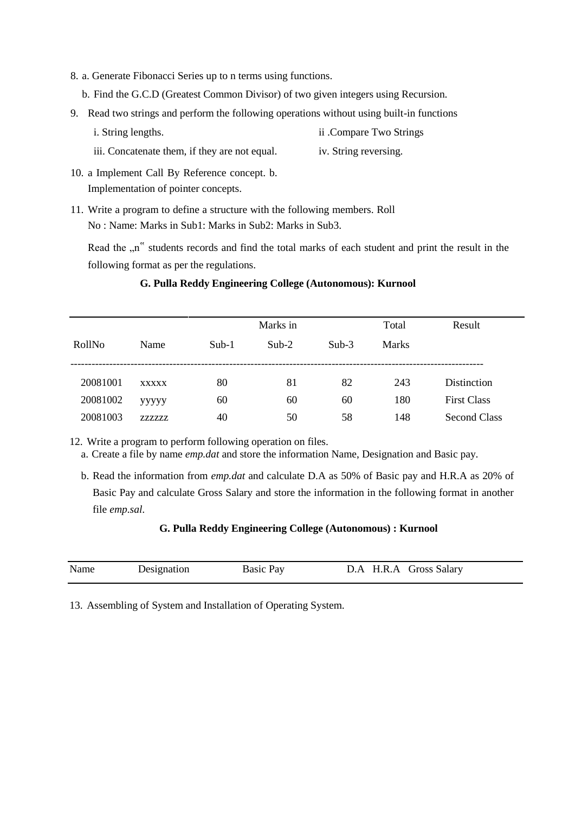- 8. a. Generate Fibonacci Series up to n terms using functions.
	- b. Find the G.C.D (Greatest Common Divisor) of two given integers using Recursion.
- 9. Read two strings and perform the following operations without using built-in functions
	- i. String lengths. ii .Compare Two Strings
	- iii. Concatenate them, if they are not equal. iv. String reversing.
- 10. a Implement Call By Reference concept. b. Implementation of pointer concepts.
- 11. Write a program to define a structure with the following members. Roll No : Name: Marks in Sub1: Marks in Sub2: Marks in Sub3.

Read the "n" students records and find the total marks of each student and print the result in the following format as per the regulations.

|          |              |         | Marks in |         | Total        | Result              |
|----------|--------------|---------|----------|---------|--------------|---------------------|
| RollNo   | Name         | $Sub-1$ | $Sub-2$  | $Sub-3$ | <b>Marks</b> |                     |
|          |              |         |          |         |              |                     |
| 20081001 | <b>XXXXX</b> | 80      | 81       | 82      | 243          | Distinction         |
| 20081002 | ууууу        | 60      | 60       | 60      | 180          | <b>First Class</b>  |
| 20081003 | 7.7.7.7.7.   | 40      | 50       | 58      | 148          | <b>Second Class</b> |

#### **G. Pulla Reddy Engineering College (Autonomous): Kurnool**

12. Write a program to perform following operation on files.

- a. Create a file by name *emp.dat* and store the information Name, Designation and Basic pay.
- b. Read the information from *emp.dat* and calculate D.A as 50% of Basic pay and H.R.A as 20% of Basic Pay and calculate Gross Salary and store the information in the following format in another file *emp.sal.*

#### **G. Pulla Reddy Engineering College (Autonomous) : Kurnool**

| Name | Designation | <b>Basic Pay</b> | D.A H.R.A Gross Salary |  |
|------|-------------|------------------|------------------------|--|
|      |             |                  |                        |  |

13. Assembling of System and Installation of Operating System.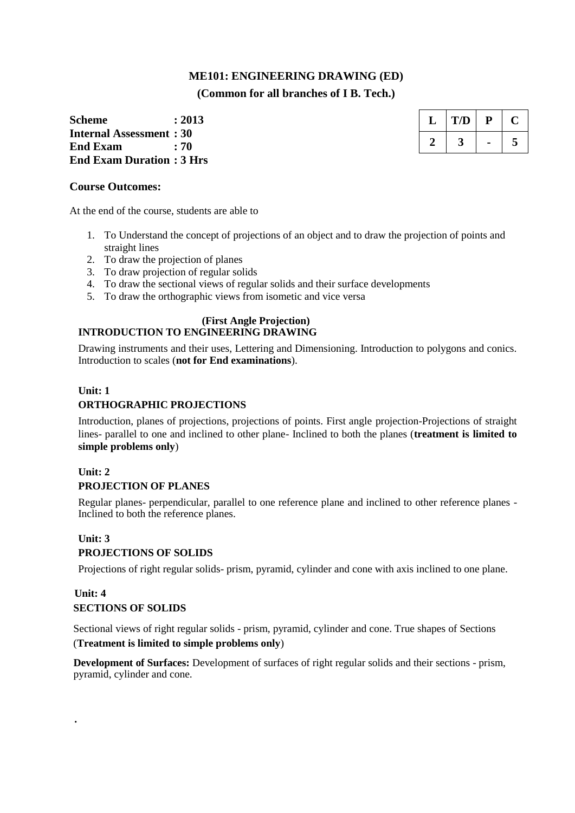# **ME101: ENGINEERING DRAWING (ED) (Common for all branches of I B. Tech.)**

**Scheme : 2013 Internal Assessment : 30 End Exam : 70 End Exam Duration : 3 Hrs**

### **Course Outcomes:**

At the end of the course, students are able to

- 1. To Understand the concept of projections of an object and to draw the projection of points and straight lines
- 2. To draw the projection of planes
- 3. To draw projection of regular solids
- 4. To draw the sectional views of regular solids and their surface developments
- 5. To draw the orthographic views from isometic and vice versa

#### **(First Angle Projection) INTRODUCTION TO ENGINEERING DRAWING**

Drawing instruments and their uses, Lettering and Dimensioning. Introduction to polygons and conics. Introduction to scales (**not for End examinations**).

### **Unit: 1**

# **ORTHOGRAPHIC PROJECTIONS**

Introduction, planes of projections, projections of points. First angle projection-Projections of straight lines- parallel to one and inclined to other plane- Inclined to both the planes (**treatment is limited to simple problems only**)

# **Unit: 2 PROJECTION OF PLANES**

Regular planes- perpendicular, parallel to one reference plane and inclined to other reference planes - Inclined to both the reference planes.

# **Unit: 3**

**.**

### **PROJECTIONS OF SOLIDS**

Projections of right regular solids- prism, pyramid, cylinder and cone with axis inclined to one plane.

### **Unit: 4 SECTIONS OF SOLIDS**

Sectional views of right regular solids - prism, pyramid, cylinder and cone. True shapes of Sections (**Treatment is limited to simple problems only**)

**Development of Surfaces:** Development of surfaces of right regular solids and their sections - prism, pyramid, cylinder and cone.

| ., | T/D | μ |   |
|----|-----|---|---|
|    |     |   | 5 |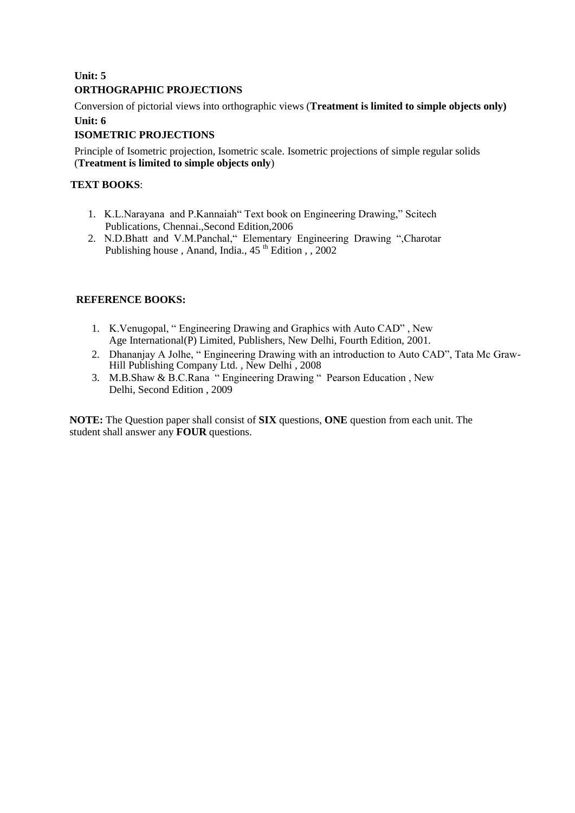# **Unit: 5 ORTHOGRAPHIC PROJECTIONS**

Conversion of pictorial views into orthographic views (**Treatment is limited to simple objects only) Unit: 6**

# **ISOMETRIC PROJECTIONS**

Principle of Isometric projection, Isometric scale. Isometric projections of simple regular solids (**Treatment is limited to simple objects only**)

# **TEXT BOOKS**:

- 1. K.L.Narayana and P.Kannaiah" Text book on Engineering Drawing," Scitech Publications, Chennai.,Second Edition,2006
- 2. N.D.Bhatt and V.M.Panchal," Elementary Engineering Drawing ",Charotar Publishing house, Anand, India.,  $45<sup>th</sup>$  Edition , , 2002

# **REFERENCE BOOKS:**

- 1. K.Venugopal, " Engineering Drawing and Graphics with Auto CAD" , New Age International(P) Limited, Publishers, New Delhi, Fourth Edition, 2001.
- 2. Dhananjay A Jolhe, " Engineering Drawing with an introduction to Auto CAD", Tata Mc Graw-Hill Publishing Company Ltd. , New Delhi , 2008
- 3. M.B.Shaw & B.C.Rana " Engineering Drawing " Pearson Education , New Delhi, Second Edition , 2009

**NOTE:** The Question paper shall consist of **SIX** questions, **ONE** question from each unit. The student shall answer any **FOUR** questions.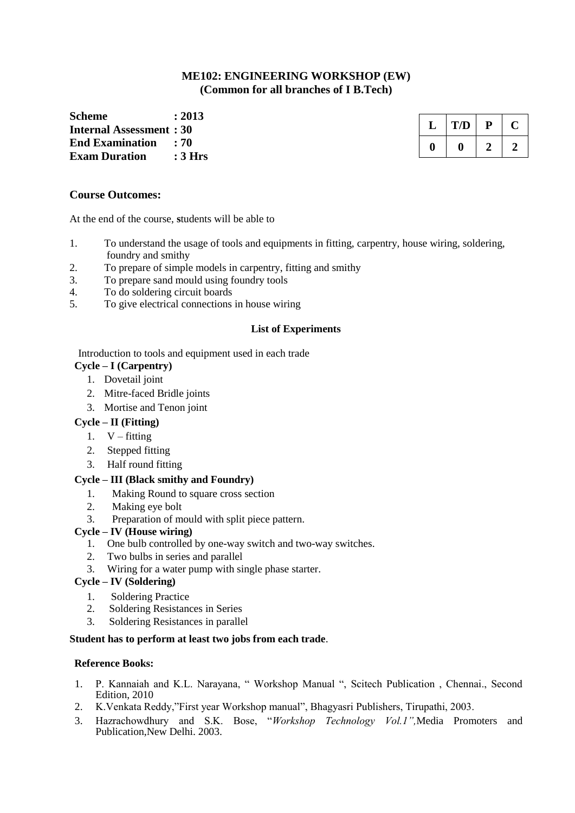## **ME102: ENGINEERING WORKSHOP (EW) (Common for all branches of I B.Tech)**

**Scheme : 2013 Internal Assessment : 30 End Examination : 70 Exam Duration : 3 Hrs**

| L | T/D | ٣ |  |
|---|-----|---|--|
|   |     |   |  |

#### **Course Outcomes:**

At the end of the course, **s**tudents will be able to

- 1. To understand the usage of tools and equipments in fitting, carpentry, house wiring, soldering, foundry and smithy
- 2. To prepare of simple models in carpentry, fitting and smithy
- 3. To prepare sand mould using foundry tools
- 4. To do soldering circuit boards
- 5. To give electrical connections in house wiring

#### **List of Experiments**

Introduction to tools and equipment used in each trade

#### **Cycle – I (Carpentry)**

- 1. Dovetail joint
- 2. Mitre-faced Bridle joints
- 3. Mortise and Tenon joint

#### **Cycle – II (Fitting)**

- 1.  $V fitting$
- 2. Stepped fitting
- 3. Half round fitting

### **Cycle – III (Black smithy and Foundry)**

- 1. Making Round to square cross section
- 2. Making eye bolt
- 3. Preparation of mould with split piece pattern.

#### **Cycle – IV (House wiring)**

- 1. One bulb controlled by one-way switch and two-way switches.
- 2. Two bulbs in series and parallel
- 3. Wiring for a water pump with single phase starter.

#### **Cycle – IV (Soldering)**

- 1. Soldering Practice
- 2. Soldering Resistances in Series
- 3. Soldering Resistances in parallel

#### **Student has to perform at least two jobs from each trade**.

#### **Reference Books:**

- 1. P. Kannaiah and K.L. Narayana, " Workshop Manual ", Scitech Publication , Chennai., Second Edition, 2010
- 2. K.Venkata Reddy,"First year Workshop manual", Bhagyasri Publishers, Tirupathi, 2003.
- 3. Hazrachowdhury and S.K. Bose, "*Workshop Technology Vol.1",*Media Promoters and Publication,New Delhi. 2003.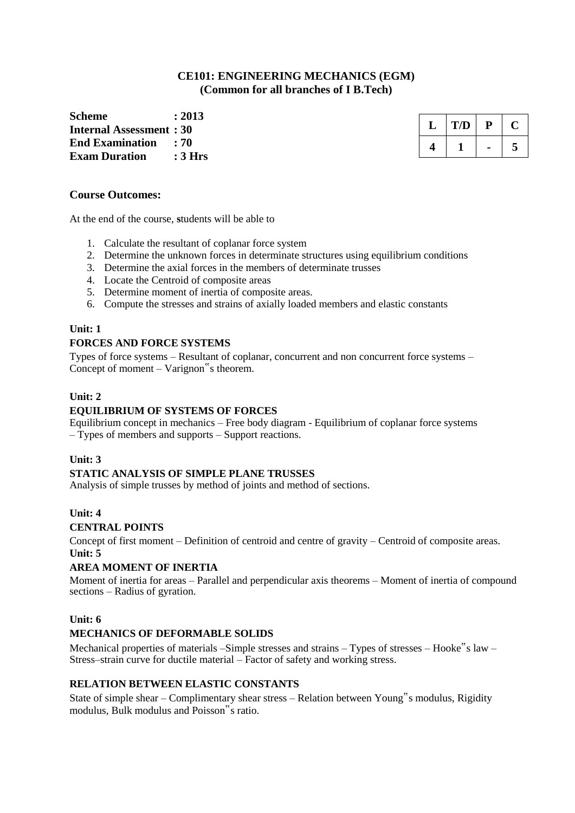### **CE101: ENGINEERING MECHANICS (EGM) (Common for all branches of I B.Tech)**

**Scheme : 2013 Internal Assessment : 30 End Examination : 70 Exam Duration : 3 Hrs**

| ι. | T/D | D |   |
|----|-----|---|---|
|    |     |   | 5 |

#### **Course Outcomes:**

At the end of the course, **s**tudents will be able to

- 1. Calculate the resultant of coplanar force system
- 2. Determine the unknown forces in determinate structures using equilibrium conditions
- 3. Determine the axial forces in the members of determinate trusses
- 4. Locate the Centroid of composite areas
- 5. Determine moment of inertia of composite areas.
- 6. Compute the stresses and strains of axially loaded members and elastic constants

#### **Unit: 1**

#### **FORCES AND FORCE SYSTEMS**

Types of force systems – Resultant of coplanar, concurrent and non concurrent force systems – Concept of moment – Varignon"s theorem.

#### **Unit: 2**

#### **EQUILIBRIUM OF SYSTEMS OF FORCES**

Equilibrium concept in mechanics – Free body diagram - Equilibrium of coplanar force systems – Types of members and supports – Support reactions.

#### **Unit: 3**

#### **STATIC ANALYSIS OF SIMPLE PLANE TRUSSES**

Analysis of simple trusses by method of joints and method of sections.

#### **Unit: 4**

#### **CENTRAL POINTS**

Concept of first moment – Definition of centroid and centre of gravity – Centroid of composite areas. **Unit: 5**

#### **AREA MOMENT OF INERTIA**

Moment of inertia for areas – Parallel and perpendicular axis theorems – Moment of inertia of compound sections – Radius of gyration.

#### **Unit: 6**

#### **MECHANICS OF DEFORMABLE SOLIDS**

Mechanical properties of materials –Simple stresses and strains – Types of stresses – Hooke"s law – Stress–strain curve for ductile material – Factor of safety and working stress.

#### **RELATION BETWEEN ELASTIC CONSTANTS**

State of simple shear – Complimentary shear stress – Relation between Young"s modulus, Rigidity modulus, Bulk modulus and Poisson"s ratio.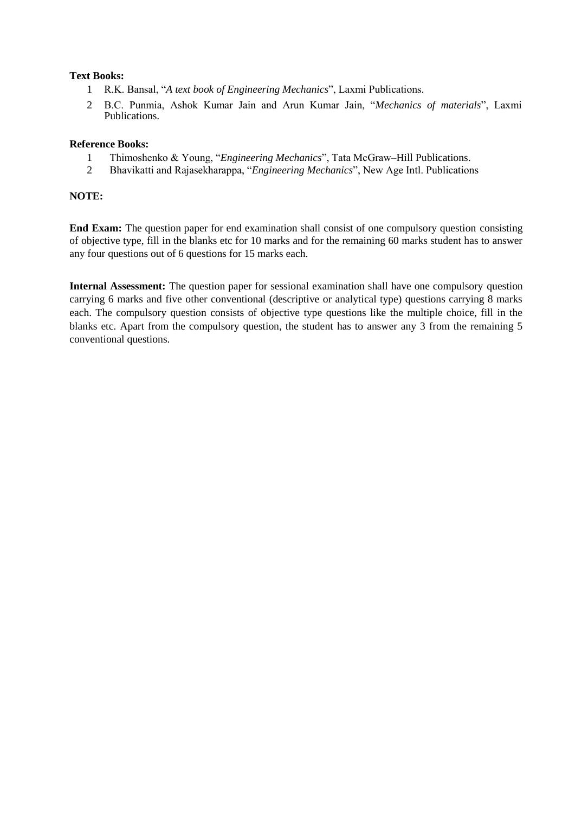#### **Text Books:**

- 1 R.K. Bansal, "*A text book of Engineering Mechanics*", Laxmi Publications.
- 2 B.C. Punmia, Ashok Kumar Jain and Arun Kumar Jain, "*Mechanics of materials*", Laxmi Publications.

#### **Reference Books:**

- 1 Thimoshenko & Young, "*Engineering Mechanics*", Tata McGraw–Hill Publications.
- 2 Bhavikatti and Rajasekharappa, "*Engineering Mechanics*", New Age Intl. Publications

#### **NOTE:**

**End Exam:** The question paper for end examination shall consist of one compulsory question consisting of objective type, fill in the blanks etc for 10 marks and for the remaining 60 marks student has to answer any four questions out of 6 questions for 15 marks each.

**Internal Assessment:** The question paper for sessional examination shall have one compulsory question carrying 6 marks and five other conventional (descriptive or analytical type) questions carrying 8 marks each. The compulsory question consists of objective type questions like the multiple choice, fill in the blanks etc. Apart from the compulsory question, the student has to answer any 3 from the remaining 5 conventional questions.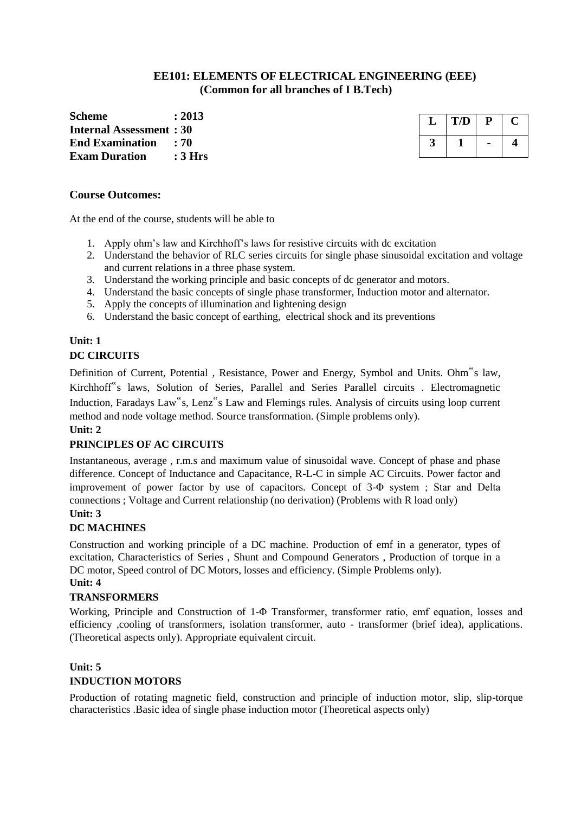# **EE101: ELEMENTS OF ELECTRICAL ENGINEERING (EEE) (Common for all branches of I B.Tech)**

**Scheme : 2013 Internal Assessment : 30 End Examination : 70 Exam Duration : 3 Hrs**

| T/D |  |
|-----|--|
|     |  |

#### **Course Outcomes:**

At the end of the course, students will be able to

- 1. Apply ohm"s law and Kirchhoff"s laws for resistive circuits with dc excitation
- 2. Understand the behavior of RLC series circuits for single phase sinusoidal excitation and voltage and current relations in a three phase system.
- 3. Understand the working principle and basic concepts of dc generator and motors.
- 4. Understand the basic concepts of single phase transformer, Induction motor and alternator.
- 5. Apply the concepts of illumination and lightening design
- 6. Understand the basic concept of earthing, electrical shock and its preventions

# **Unit: 1 DC CIRCUITS**

Definition of Current, Potential , Resistance, Power and Energy, Symbol and Units. Ohm"s law, Kirchhoff"s laws, Solution of Series, Parallel and Series Parallel circuits . Electromagnetic Induction, Faradays Law"s, Lenz"s Law and Flemings rules. Analysis of circuits using loop current method and node voltage method. Source transformation. (Simple problems only).

#### **Unit: 2**

# **PRINCIPLES OF AC CIRCUITS**

Instantaneous, average , r.m.s and maximum value of sinusoidal wave. Concept of phase and phase difference. Concept of Inductance and Capacitance, R-L-C in simple AC Circuits. Power factor and improvement of power factor by use of capacitors. Concept of 3-Φ system ; Star and Delta connections ; Voltage and Current relationship (no derivation) (Problems with R load only) **Unit: 3**

# **DC MACHINES**

Construction and working principle of a DC machine. Production of emf in a generator, types of excitation, Characteristics of Series , Shunt and Compound Generators , Production of torque in a DC motor, Speed control of DC Motors, losses and efficiency. (Simple Problems only).

#### **Unit: 4**

### **TRANSFORMERS**

Working, Principle and Construction of 1-Φ Transformer, transformer ratio, emf equation, losses and efficiency ,cooling of transformers, isolation transformer, auto - transformer (brief idea), applications. (Theoretical aspects only). Appropriate equivalent circuit.

# **Unit: 5**

### **INDUCTION MOTORS**

Production of rotating magnetic field, construction and principle of induction motor, slip, slip-torque characteristics .Basic idea of single phase induction motor (Theoretical aspects only)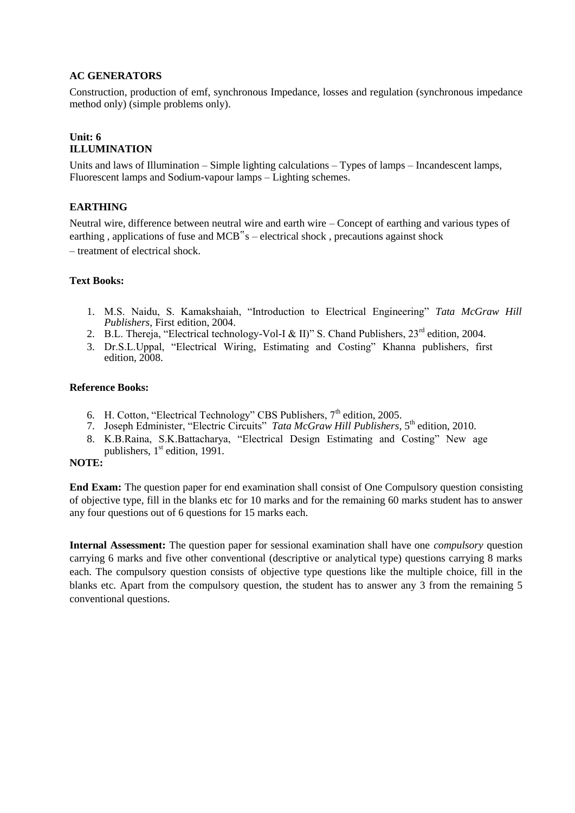#### **AC GENERATORS**

Construction, production of emf, synchronous Impedance, losses and regulation (synchronous impedance method only) (simple problems only).

#### **Unit: 6 ILLUMINATION**

Units and laws of Illumination – Simple lighting calculations – Types of lamps – Incandescent lamps, Fluorescent lamps and Sodium-vapour lamps – Lighting schemes.

## **EARTHING**

Neutral wire, difference between neutral wire and earth wire – Concept of earthing and various types of earthing , applications of fuse and MCB"s – electrical shock , precautions against shock – treatment of electrical shock.

#### **Text Books:**

- 1. M.S. Naidu, S. Kamakshaiah, "Introduction to Electrical Engineering" *Tata McGraw Hill Publishers,* First edition, 2004.
- 2. B.L. Thereja, "Electrical technology-Vol-I & II)" S. Chand Publishers,  $23^{\text{rd}}$  edition. 2004.
- 3. Dr.S.L.Uppal, "Electrical Wiring, Estimating and Costing" Khanna publishers, first edition, 2008.

#### **Reference Books:**

- 6. H. Cotton, "Electrical Technology" CBS Publishers,  $7<sup>th</sup>$  edition, 2005.
- 7. Joseph Edminister, "Electric Circuits" *Tata McGraw Hill Publishers*, 5<sup>th</sup> edition, 2010.
- 8. K.B.Raina, S.K.Battacharya, "Electrical Design Estimating and Costing" New age publishers,  $1<sup>st</sup>$  edition, 1991.

#### **NOTE:**

**End Exam:** The question paper for end examination shall consist of One Compulsory question consisting of objective type, fill in the blanks etc for 10 marks and for the remaining 60 marks student has to answer any four questions out of 6 questions for 15 marks each.

**Internal Assessment:** The question paper for sessional examination shall have one *compulsory* question carrying 6 marks and five other conventional (descriptive or analytical type) questions carrying 8 marks each. The compulsory question consists of objective type questions like the multiple choice, fill in the blanks etc. Apart from the compulsory question, the student has to answer any 3 from the remaining 5 conventional questions.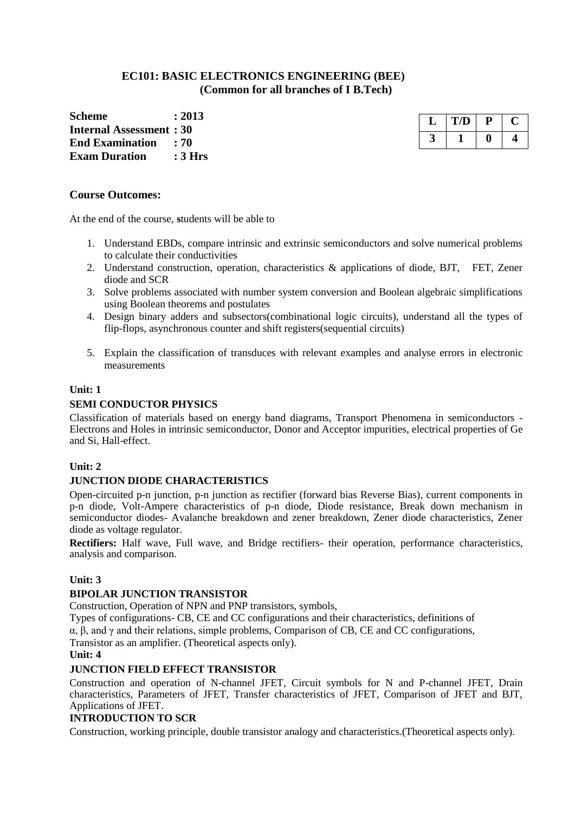## **EC101: BASIC ELECTRONICS ENGINEERING (BEE) (Common for all branches of I B.Tech)**

**Scheme : 2013 Internal Assessment : 30 End Examination : 70 Exam Duration : 3 Hrs**

#### **Course Outcomes:**

At the end of the course, **s**tudents will be able to

- 1. Understand EBDs, compare intrinsic and extrinsic semiconductors and solve numerical problems to calculate their conductivities
- 2. Understand construction, operation, characteristics & applications of diode, BJT, FET, Zener diode and SCR
- 3. Solve problems associated with number system conversion and Boolean algebraic simplifications using Boolean theorems and postulates
- 4. Design binary adders and subsectors(combinational logic circuits), understand all the types of flip-flops, asynchronous counter and shift registers(sequential circuits)
- 5. Explain the classification of transduces with relevant examples and analyse errors in electronic measurements

#### **Unit: 1**

#### **SEMI CONDUCTOR PHYSICS**

Classification of materials based on energy band diagrams, Transport Phenomena in semiconductors - Electrons and Holes in intrinsic semiconductor, Donor and Acceptor impurities, electrical properties of Ge and Si, Hall-effect.

#### **Unit: 2**

#### **JUNCTION DIODE CHARACTERISTICS**

Open-circuited p-n junction, p-n junction as rectifier (forward bias Reverse Bias), current components in p-n diode, Volt-Ampere characteristics of p-n diode, Diode resistance, Break down mechanism in semiconductor diodes- Avalanche breakdown and zener breakdown, Zener diode characteristics, Zener diode as voltage regulator.

**Rectifiers:** Half wave, Full wave, and Bridge rectifiers- their operation, performance characteristics, analysis and comparison.

#### **Unit: 3**

#### **BIPOLAR JUNCTION TRANSISTOR**

Construction, Operation of NPN and PNP transistors, symbols,

Types of configurations- CB, CE and CC configurations and their characteristics, definitions of α, β, and γ and their relations, simple problems, Comparison of CB, CE and CC configurations, Transistor as an amplifier. (Theoretical aspects only).

#### **Unit: 4**

#### **JUNCTION FIELD EFFECT TRANSISTOR**

Construction and operation of N-channel JFET, Circuit symbols for N and P-channel JFET, Drain characteristics, Parameters of JFET, Transfer characteristics of JFET, Comparison of JFET and BJT, Applications of JFET.

#### **INTRODUCTION TO SCR**

Construction, working principle, double transistor analogy and characteristics.(Theoretical aspects only).

| L7D |  |
|-----|--|
|     |  |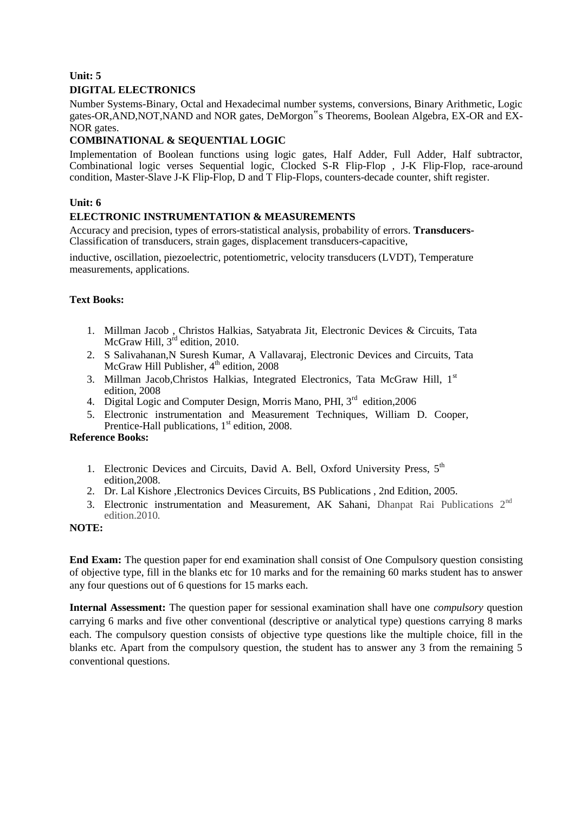# **Unit: 5 DIGITAL ELECTRONICS**

Number Systems-Binary, Octal and Hexadecimal number systems, conversions, Binary Arithmetic, Logic gates-OR,AND,NOT,NAND and NOR gates, DeMorgon"s Theorems, Boolean Algebra, EX-OR and EX-NOR gates.

# **COMBINATIONAL & SEQUENTIAL LOGIC**

Implementation of Boolean functions using logic gates, Half Adder, Full Adder, Half subtractor, Combinational logic verses Sequential logic, Clocked S-R Flip-Flop , J-K Flip-Flop, race-around condition, Master-Slave J-K Flip-Flop, D and T Flip-Flops, counters-decade counter, shift register.

# **Unit: 6**

# **ELECTRONIC INSTRUMENTATION & MEASUREMENTS**

Accuracy and precision, types of errors-statistical analysis, probability of errors. **Transducers-**Classification of transducers, strain gages, displacement transducers-capacitive,

inductive, oscillation, piezoelectric, potentiometric, velocity transducers (LVDT), Temperature measurements, applications.

# **Text Books:**

- 1. Millman Jacob , Christos Halkias, Satyabrata Jit, Electronic Devices & Circuits, Tata McGraw Hill,  $3^{rd}$  edition, 2010.
- 2. S Salivahanan,N Suresh Kumar, A Vallavaraj, Electronic Devices and Circuits, Tata McGraw Hill Publisher,  $4<sup>th</sup>$  edition, 2008
- 3. Millman Jacob, Christos Halkias, Integrated Electronics, Tata McGraw Hill, 1<sup>st</sup> edition, 2008
- 4. Digital Logic and Computer Design, Morris Mano, PHI, 3<sup>rd</sup> edition, 2006
- 5. Electronic instrumentation and Measurement Techniques, William D. Cooper, Prentice-Hall publications,  $1<sup>st</sup>$  edition, 2008.

### **Reference Books:**

- 1. Electronic Devices and Circuits, David A. Bell, Oxford University Press, 5<sup>th</sup> edition,2008.
- 2. Dr. Lal Kishore ,Electronics Devices Circuits, BS Publications , 2nd Edition, 2005.
- 3. Electronic instrumentation and Measurement, AK Sahani, Dhanpat Rai Publications 2<sup>nd</sup> edition.2010*.*

#### **NOTE:**

**End Exam:** The question paper for end examination shall consist of One Compulsory question consisting of objective type, fill in the blanks etc for 10 marks and for the remaining 60 marks student has to answer any four questions out of 6 questions for 15 marks each.

**Internal Assessment:** The question paper for sessional examination shall have one *compulsory* question carrying 6 marks and five other conventional (descriptive or analytical type) questions carrying 8 marks each. The compulsory question consists of objective type questions like the multiple choice, fill in the blanks etc. Apart from the compulsory question, the student has to answer any 3 from the remaining 5 conventional questions.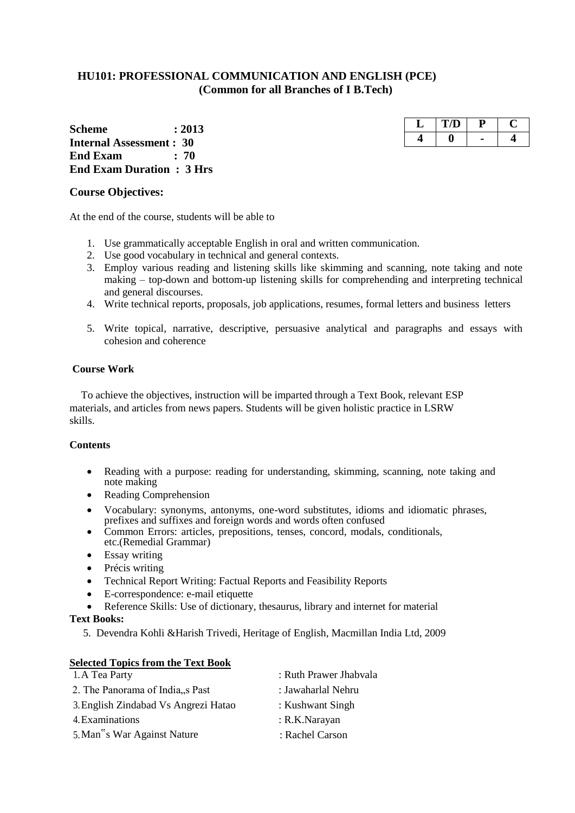# **HU101: PROFESSIONAL COMMUNICATION AND ENGLISH (PCE) (Common for all Branches of I B.Tech)**

**Scheme : 2013 Internal Assessment : 30 End Exam : 70 End Exam Duration : 3 Hrs**

#### **Course Objectives:**

At the end of the course, students will be able to

- 1. Use grammatically acceptable English in oral and written communication.
- 2. Use good vocabulary in technical and general contexts.
- 3. Employ various reading and listening skills like skimming and scanning, note taking and note making – top-down and bottom-up listening skills for comprehending and interpreting technical and general discourses.
- 4. Write technical reports, proposals, job applications, resumes, formal letters and business letters
- 5. Write topical, narrative, descriptive, persuasive analytical and paragraphs and essays with cohesion and coherence

#### **Course Work**

To achieve the objectives, instruction will be imparted through a Text Book, relevant ESP materials, and articles from news papers. Students will be given holistic practice in LSRW skills.

#### **Contents**

- Reading with a purpose: reading for understanding, skimming, scanning, note taking and note making
- Reading Comprehension
- Vocabulary: synonyms, antonyms, one-word substitutes, idioms and idiomatic phrases, prefixes and suffixes and foreign words and words often confused
- Common Errors: articles, prepositions, tenses, concord, modals, conditionals, etc.(Remedial Grammar)
- Essay writing
- Précis writing
- Technical Report Writing: Factual Reports and Feasibility Reports
- E-correspondence: e-mail etiquette
- Reference Skills: Use of dictionary, thesaurus, library and internet for material

#### **Text Books:**

5. Devendra Kohli &Harish Trivedi, Heritage of English, Macmillan India Ltd, 2009

| <b>Selected Topics from the Text Book</b> |                        |
|-------------------------------------------|------------------------|
| 1. A Tea Party                            | : Ruth Prawer Jhabvala |
| 2. The Panorama of India, past            | : Jawaharlal Nehru     |
| 3. English Zindabad Vs Angrezi Hatao      | : Kushwant Singh       |
| 4. Examinations                           | : R.K.Narayan          |
| 5. Man"s War Against Nature               | : Rachel Carson        |

| H. | $\mathbf{U}$ |   |  |
|----|--------------|---|--|
|    |              | - |  |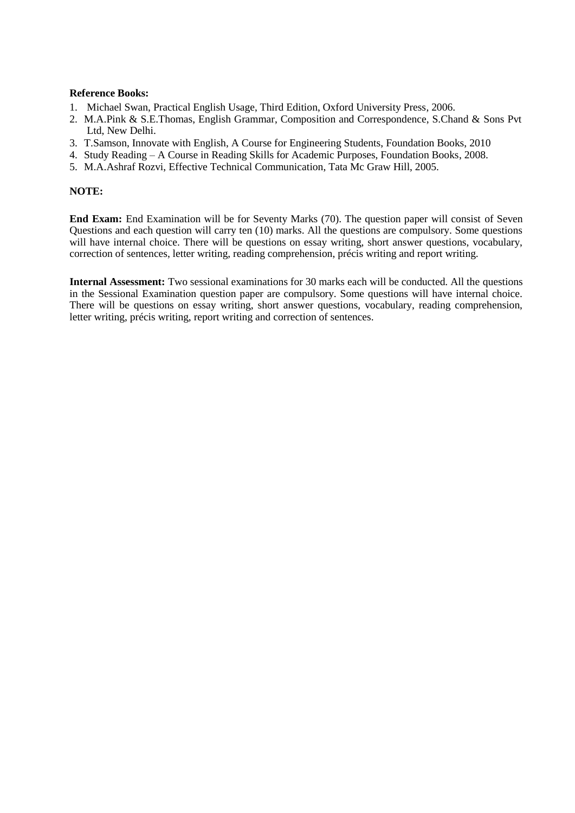#### **Reference Books:**

- 1. Michael Swan, Practical English Usage, Third Edition, Oxford University Press, 2006.
- 2. M.A.Pink & S.E.Thomas, English Grammar, Composition and Correspondence, S.Chand & Sons Pvt Ltd, New Delhi.
- 3. T.Samson, Innovate with English, A Course for Engineering Students, Foundation Books, 2010
- 4. Study Reading A Course in Reading Skills for Academic Purposes, Foundation Books, 2008.
- 5. M.A.Ashraf Rozvi, Effective Technical Communication, Tata Mc Graw Hill, 2005.

#### **NOTE:**

**End Exam:** End Examination will be for Seventy Marks (70). The question paper will consist of Seven Questions and each question will carry ten (10) marks. All the questions are compulsory. Some questions will have internal choice. There will be questions on essay writing, short answer questions, vocabulary, correction of sentences, letter writing, reading comprehension, précis writing and report writing.

**Internal Assessment:** Two sessional examinations for 30 marks each will be conducted. All the questions in the Sessional Examination question paper are compulsory. Some questions will have internal choice. There will be questions on essay writing, short answer questions, vocabulary, reading comprehension, letter writing, précis writing, report writing and correction of sentences.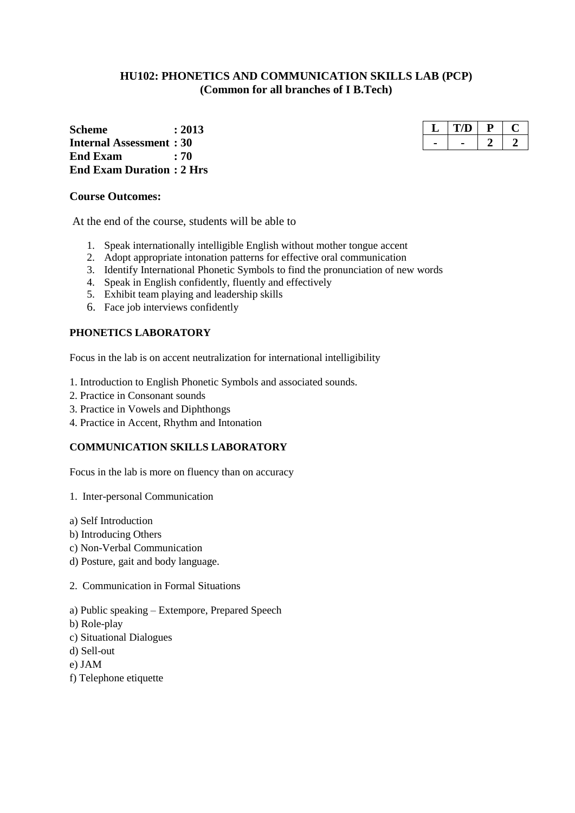# **HU102: PHONETICS AND COMMUNICATION SKILLS LAB (PCP) (Common for all branches of I B.Tech)**

**Scheme : 2013 Internal Assessment : 30 End Exam : 70 End Exam Duration : 2 Hrs**

#### **Course Outcomes:**

At the end of the course, students will be able to

- 1. Speak internationally intelligible English without mother tongue accent
- 2. Adopt appropriate intonation patterns for effective oral communication
- 3. Identify International Phonetic Symbols to find the pronunciation of new words
- 4. Speak in English confidently, fluently and effectively
- 5. Exhibit team playing and leadership skills
- 6. Face job interviews confidently

### **PHONETICS LABORATORY**

Focus in the lab is on accent neutralization for international intelligibility

- 1. Introduction to English Phonetic Symbols and associated sounds.
- 2. Practice in Consonant sounds
- 3. Practice in Vowels and Diphthongs
- 4. Practice in Accent, Rhythm and Intonation

#### **COMMUNICATION SKILLS LABORATORY**

Focus in the lab is more on fluency than on accuracy

- 1. Inter-personal Communication
- a) Self Introduction
- b) Introducing Others
- c) Non-Verbal Communication
- d) Posture, gait and body language.
- 2. Communication in Formal Situations
- a) Public speaking Extempore, Prepared Speech
- b) Role-play
- c) Situational Dialogues
- d) Sell-out
- e) JAM
- f) Telephone etiquette

| נו |  |
|----|--|
|    |  |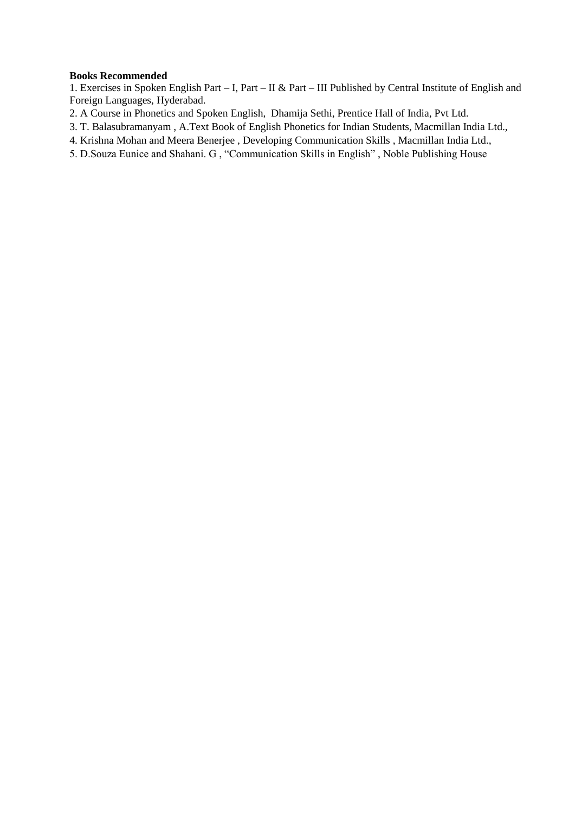#### **Books Recommended**

1. Exercises in Spoken English Part – I, Part – II & Part – III Published by Central Institute of English and Foreign Languages, Hyderabad.

- 2. A Course in Phonetics and Spoken English, Dhamija Sethi, Prentice Hall of India, Pvt Ltd.
- 3. T. Balasubramanyam , A.Text Book of English Phonetics for Indian Students, Macmillan India Ltd.,
- 4. Krishna Mohan and Meera Benerjee , Developing Communication Skills , Macmillan India Ltd.,
- 5. D.Souza Eunice and Shahani. G , "Communication Skills in English" , Noble Publishing House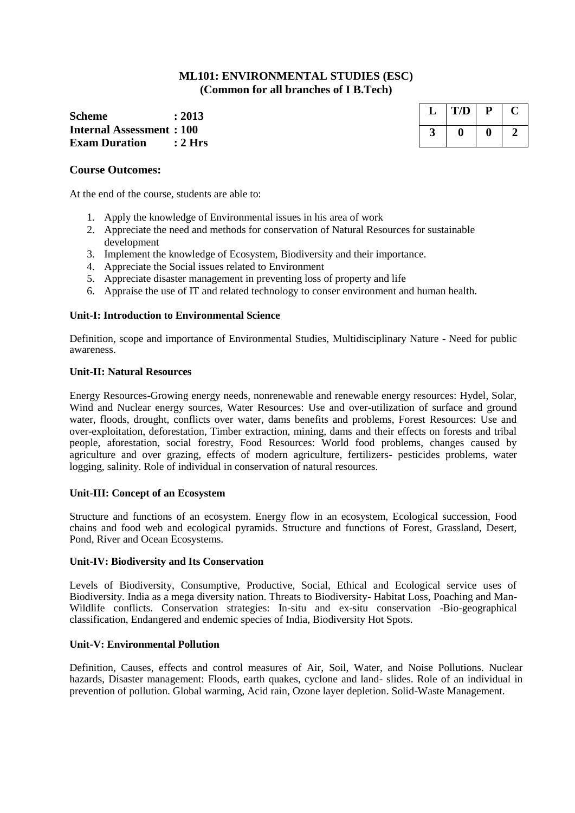#### **ML101: ENVIRONMENTAL STUDIES (ESC) (Common for all branches of I B.Tech)**

**Scheme : 2013 Internal Assessment : 100 Exam Duration : 2 Hrs**

#### **Course Outcomes:**

At the end of the course, students are able to:

- 1. Apply the knowledge of Environmental issues in his area of work
- 2. Appreciate the need and methods for conservation of Natural Resources for sustainable development
- 3. Implement the knowledge of Ecosystem, Biodiversity and their importance.
- 4. Appreciate the Social issues related to Environment
- 5. Appreciate disaster management in preventing loss of property and life
- 6. Appraise the use of IT and related technology to conser environment and human health.

#### **Unit-I: Introduction to Environmental Science**

Definition, scope and importance of Environmental Studies, Multidisciplinary Nature - Need for public awareness.

#### **Unit-II: Natural Resources**

Energy Resources-Growing energy needs, nonrenewable and renewable energy resources: Hydel, Solar, Wind and Nuclear energy sources, Water Resources: Use and over-utilization of surface and ground water, floods, drought, conflicts over water, dams benefits and problems, Forest Resources: Use and over-exploitation, deforestation, Timber extraction, mining, dams and their effects on forests and tribal people, aforestation, social forestry, Food Resources: World food problems, changes caused by agriculture and over grazing, effects of modern agriculture, fertilizers- pesticides problems, water logging, salinity. Role of individual in conservation of natural resources.

#### **Unit-III: Concept of an Ecosystem**

Structure and functions of an ecosystem. Energy flow in an ecosystem, Ecological succession, Food chains and food web and ecological pyramids. Structure and functions of Forest, Grassland, Desert, Pond, River and Ocean Ecosystems.

#### **Unit-IV: Biodiversity and Its Conservation**

Levels of Biodiversity, Consumptive, Productive, Social, Ethical and Ecological service uses of Biodiversity. India as a mega diversity nation. Threats to Biodiversity- Habitat Loss, Poaching and Man-Wildlife conflicts. Conservation strategies: In-situ and ex-situ conservation -Bio-geographical classification, Endangered and endemic species of India, Biodiversity Hot Spots.

#### **Unit-V: Environmental Pollution**

Definition, Causes, effects and control measures of Air, Soil, Water, and Noise Pollutions. Nuclear hazards, Disaster management: Floods, earth quakes, cyclone and land- slides. Role of an individual in prevention of pollution. Global warming, Acid rain, Ozone layer depletion. Solid-Waste Management.

| T/D | Ρ |  |
|-----|---|--|
|     |   |  |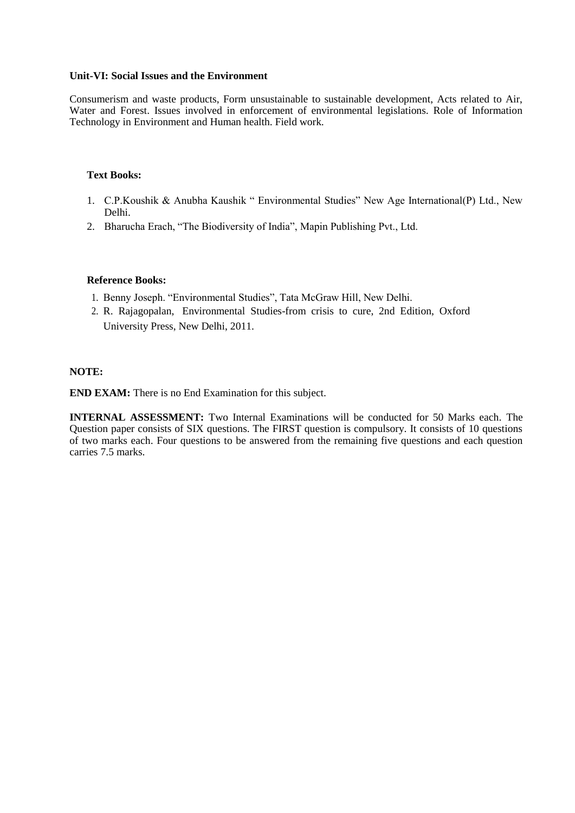#### **Unit-VI: Social Issues and the Environment**

Consumerism and waste products, Form unsustainable to sustainable development, Acts related to Air, Water and Forest. Issues involved in enforcement of environmental legislations. Role of Information Technology in Environment and Human health. Field work.

#### **Text Books:**

- 1. C.P.Koushik & Anubha Kaushik " Environmental Studies" New Age International(P) Ltd., New Delhi.
- 2. Bharucha Erach, "The Biodiversity of India", Mapin Publishing Pvt., Ltd.

#### **Reference Books:**

- 1. Benny Joseph. "Environmental Studies", Tata McGraw Hill, New Delhi.
- 2. R. Rajagopalan, Environmental Studies-from crisis to cure, 2nd Edition, Oxford University Press, New Delhi, 2011.

#### **NOTE:**

**END EXAM:** There is no End Examination for this subject.

**INTERNAL ASSESSMENT:** Two Internal Examinations will be conducted for 50 Marks each. The Question paper consists of SIX questions. The FIRST question is compulsory. It consists of 10 questions of two marks each. Four questions to be answered from the remaining five questions and each question carries 7.5 marks.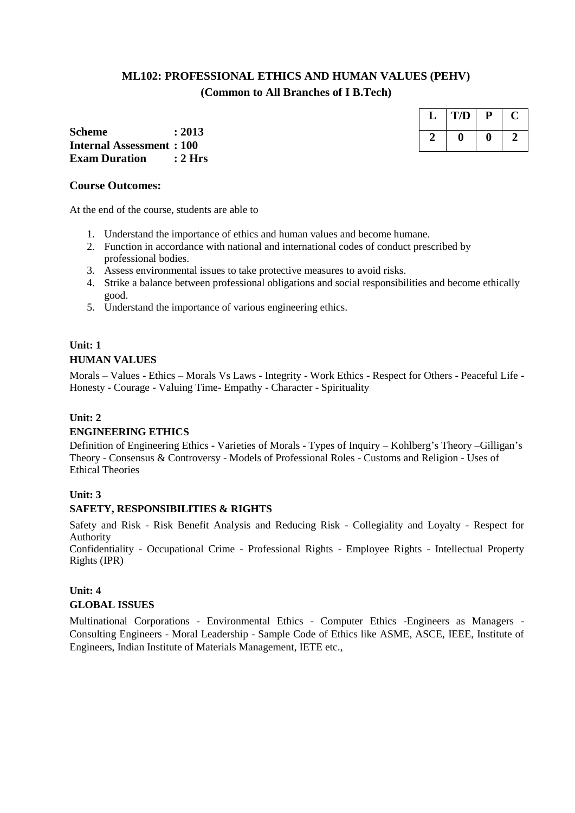# **ML102: PROFESSIONAL ETHICS AND HUMAN VALUES (PEHV) (Common to All Branches of I B.Tech)**

**Scheme : 2013 Internal Assessment : 100 Exam Duration : 2 Hrs**

#### **Course Outcomes:**

At the end of the course, students are able to

- 1. Understand the importance of ethics and human values and become humane.
- 2. Function in accordance with national and international codes of conduct prescribed by professional bodies.
- 3. Assess environmental issues to take protective measures to avoid risks.
- 4. Strike a balance between professional obligations and social responsibilities and become ethically good.
- 5. Understand the importance of various engineering ethics.

# **Unit: 1 HUMAN VALUES**

Morals – Values - Ethics – Morals Vs Laws - Integrity - Work Ethics - Respect for Others - Peaceful Life - Honesty - Courage - Valuing Time- Empathy - Character - Spirituality

### **Unit: 2**

### **ENGINEERING ETHICS**

Definition of Engineering Ethics - Varieties of Morals - Types of Inquiry – Kohlberg's Theory –Gilligan's Theory - Consensus & Controversy - Models of Professional Roles - Customs and Religion - Uses of Ethical Theories

#### **Unit: 3**

#### **SAFETY, RESPONSIBILITIES & RIGHTS**

Safety and Risk - Risk Benefit Analysis and Reducing Risk - Collegiality and Loyalty - Respect for Authority

Confidentiality - Occupational Crime - Professional Rights - Employee Rights - Intellectual Property Rights (IPR)

# **Unit: 4 GLOBAL ISSUES**

Multinational Corporations - Environmental Ethics - Computer Ethics -Engineers as Managers - Consulting Engineers - Moral Leadership - Sample Code of Ethics like ASME, ASCE, IEEE, Institute of Engineers, Indian Institute of Materials Management, IETE etc.,

| L | T/D | P |  |
|---|-----|---|--|
|   |     |   |  |